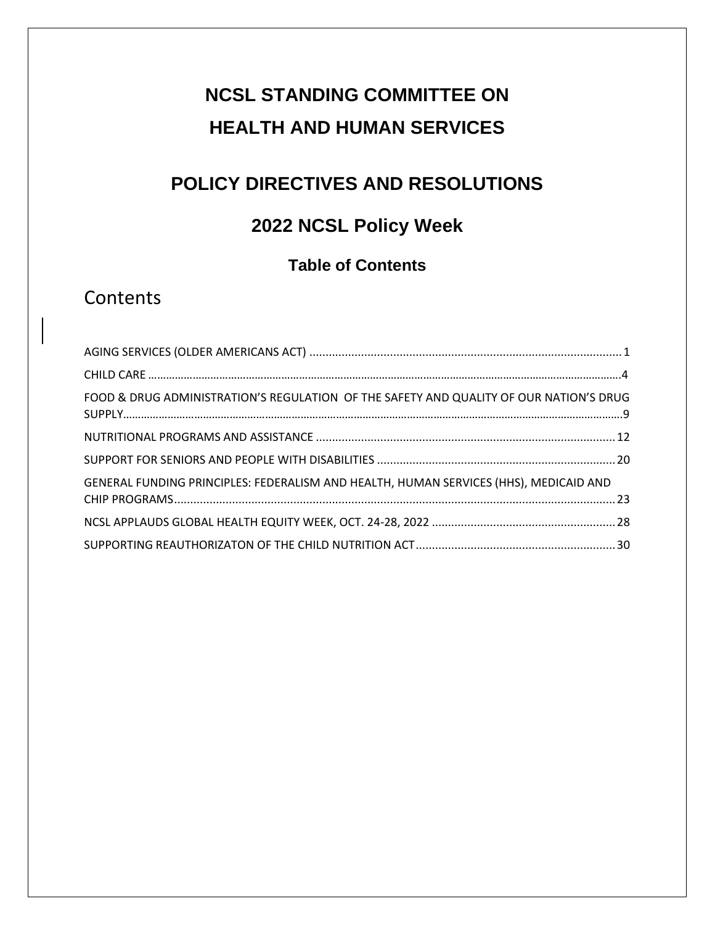# **NCSL STANDING COMMITTEE ON HEALTH AND HUMAN SERVICES**

# **POLICY DIRECTIVES AND RESOLUTIONS**

# **2022 NCSL Policy Week**

# **Table of Contents**

# **Contents**

| FOOD & DRUG ADMINISTRATION'S REGULATION OF THE SAFETY AND QUALITY OF OUR NATION'S DRUG |  |
|----------------------------------------------------------------------------------------|--|
|                                                                                        |  |
|                                                                                        |  |
| GENERAL FUNDING PRINCIPLES: FEDERALISM AND HEALTH, HUMAN SERVICES (HHS), MEDICAID AND  |  |
|                                                                                        |  |
|                                                                                        |  |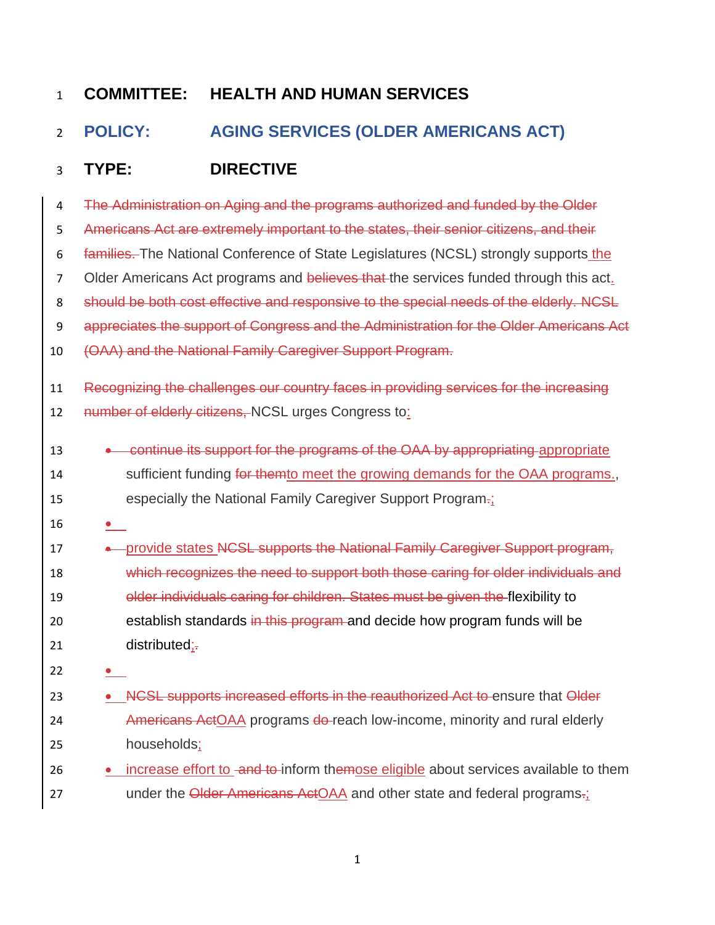# <span id="page-1-0"></span>2 **POLICY: AGING SERVICES (OLDER AMERICANS ACT)**

# 3 **TYPE: DIRECTIVE**

| 4              | The Administration on Aging and the programs authorized and funded by the Older        |
|----------------|----------------------------------------------------------------------------------------|
| 5              | Americans Act are extremely important to the states, their senior citizens, and their  |
| 6              | families. The National Conference of State Legislatures (NCSL) strongly supports the   |
| $\overline{7}$ | Older Americans Act programs and believes that the services funded through this act.   |
| 8              | should be both cost effective and responsive to the special needs of the elderly. NCSL |
| 9              | appreciates the support of Congress and the Administration for the Older Americans Act |
| 10             | (OAA) and the National Family Caregiver Support Program.                               |
| 11             | Recognizing the challenges our country faces in providing services for the increasing  |
| 12             | number of elderly citizens, NCSL urges Congress to:                                    |
| 13             | continue its support for the programs of the OAA by appropriating appropriate          |
| 14             | sufficient funding for themto meet the growing demands for the OAA programs.,          |
| 15             | especially the National Family Caregiver Support Program-;                             |
| 16             |                                                                                        |
| 17             | -provide states NCSL supports the National Family Caregiver Support program,           |
| 18             | which recognizes the need to support both those caring for older individuals and       |
| 19             | older individuals caring for children. States must be given the flexibility to         |
| 20             | establish standards in this program and decide how program funds will be               |
| 21             | $distributed; =$                                                                       |
| 22             |                                                                                        |
| 23             | NCSL supports increased efforts in the reauthorized Act to ensure that Older           |
| 24             | Americans ActOAA programs do-reach low-income, minority and rural elderly              |
| 25             | households;                                                                            |
| 26             | increase effort to and to inform themose eligible about services available to them     |
| 27             | under the Older Americans ActOAA and other state and federal programs.                 |
|                |                                                                                        |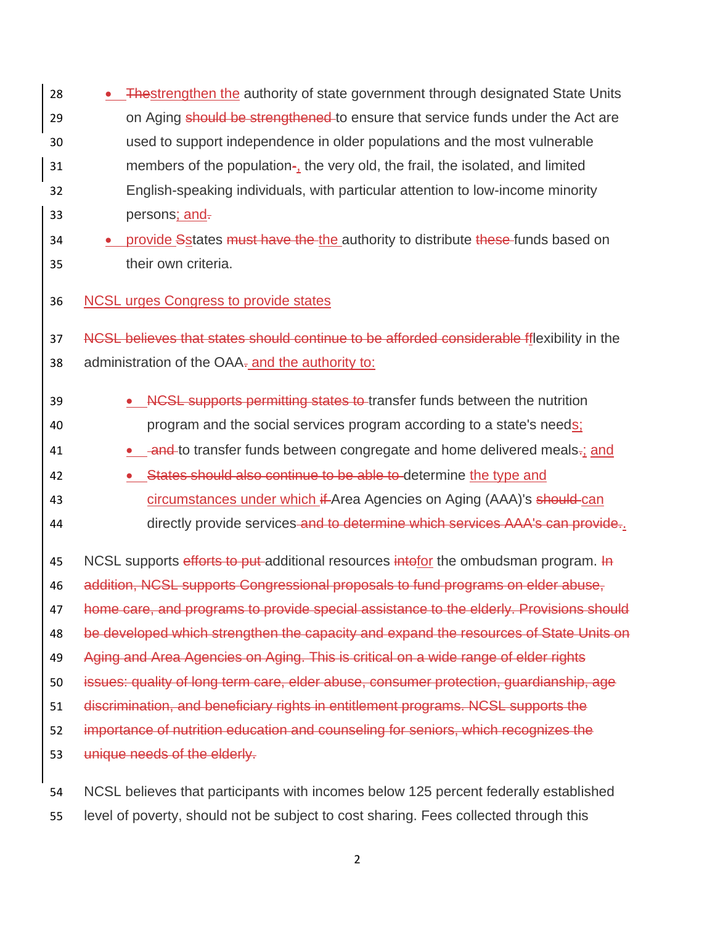28 • Thestrengthen the authority of state government through designated State Units 29 on Aging should be strengthened to ensure that service funds under the Act are 30 used to support independence in older populations and the most vulnerable 31 members of the population-, the very old, the frail, the isolated, and limited 32 English-speaking individuals, with particular attention to low-income minority 33 persons; and.

# 34 • provide Sstates must have the the authority to distribute these funds based on 35 their own criteria.

36 NCSL urges Congress to provide states

37 NCSL believes that states should continue to be afforded considerable fflexibility in the 38 administration of the OAA- and the authority to:

- 39 • **NCSL supports permitting states to transfer funds between the nutrition** 40 program and the social services program according to a state's needs;
- 41 and to transfer funds between congregate and home delivered meals-; and
- 42 States should also continue to be able to determine the type and 43 circumstances under which if Area Agencies on Aging (AAA)'s should can
- 44 directly provide services and to determine which services AAA's can provide.

45 NCSL supports efforts to put additional resources intofor the ombudsman program. In addition, NCSL supports Congressional proposals to fund programs on elder abuse, 47 home care, and programs to provide special assistance to the elderly. Provisions should 48 be developed which strengthen the capacity and expand the resources of State Units on Aging and Area Agencies on Aging. This is critical on a wide range of elder rights issues: quality of long term care, elder abuse, consumer protection, guardianship, age discrimination, and beneficiary rights in entitlement programs. NCSL supports the importance of nutrition education and counseling for seniors, which recognizes the unique needs of the elderly.

54 NCSL believes that participants with incomes below 125 percent federally established 55 level of poverty, should not be subject to cost sharing. Fees collected through this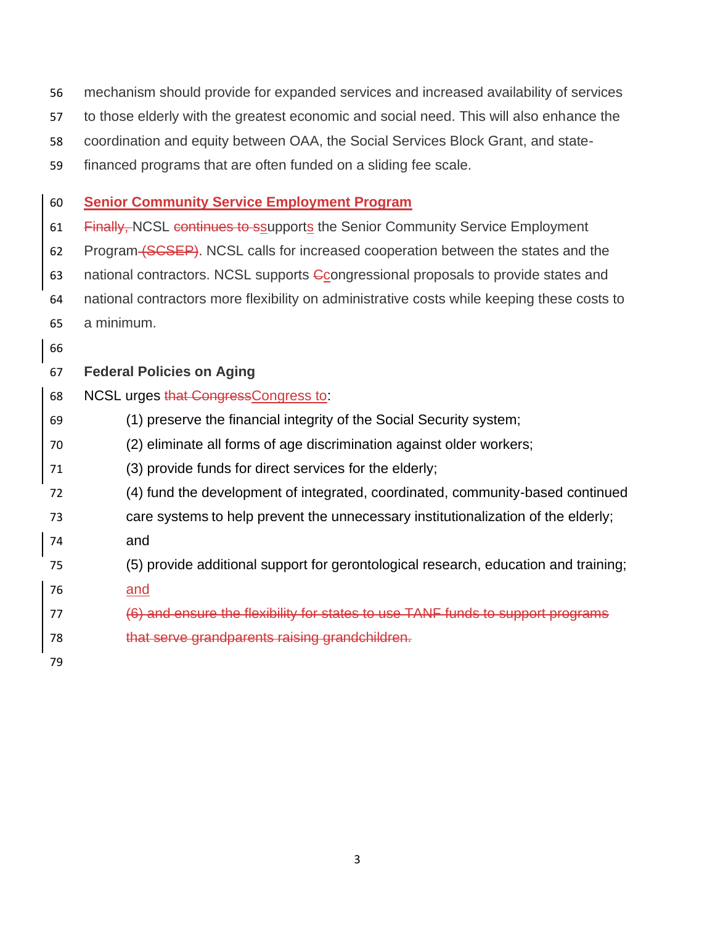|  |  |  |  | 56 mechanism should provide for expanded services and increased availability of services |  |
|--|--|--|--|------------------------------------------------------------------------------------------|--|
|--|--|--|--|------------------------------------------------------------------------------------------|--|

- to those elderly with the greatest economic and social need. This will also enhance the
- coordination and equity between OAA, the Social Services Block Grant, and state-
- financed programs that are often funded on a sliding fee scale.

## **Senior Community Service Employment Program**

- 61 Finally, NCSL continues to ssupports the Senior Community Service Employment
- 62 Program (SCSEP). NCSL calls for increased cooperation between the states and the
- 63 national contractors. NCSL supports Congressional proposals to provide states and
- national contractors more flexibility on administrative costs while keeping these costs to a minimum.
- 
- **Federal Policies on Aging**
- 68 NCSL urges that CongressCongress to:
- (1) preserve the financial integrity of the Social Security system;
- (2) eliminate all forms of age discrimination against older workers;
- (3) provide funds for direct services for the elderly;
- (4) fund the development of integrated, coordinated, community-based continued
- care systems to help prevent the unnecessary institutionalization of the elderly;
- and
- (5) provide additional support for gerontological research, education and training;
- and
- (6) and ensure the flexibility for states to use TANF funds to support programs
- that serve grandparents raising grandchildren.
-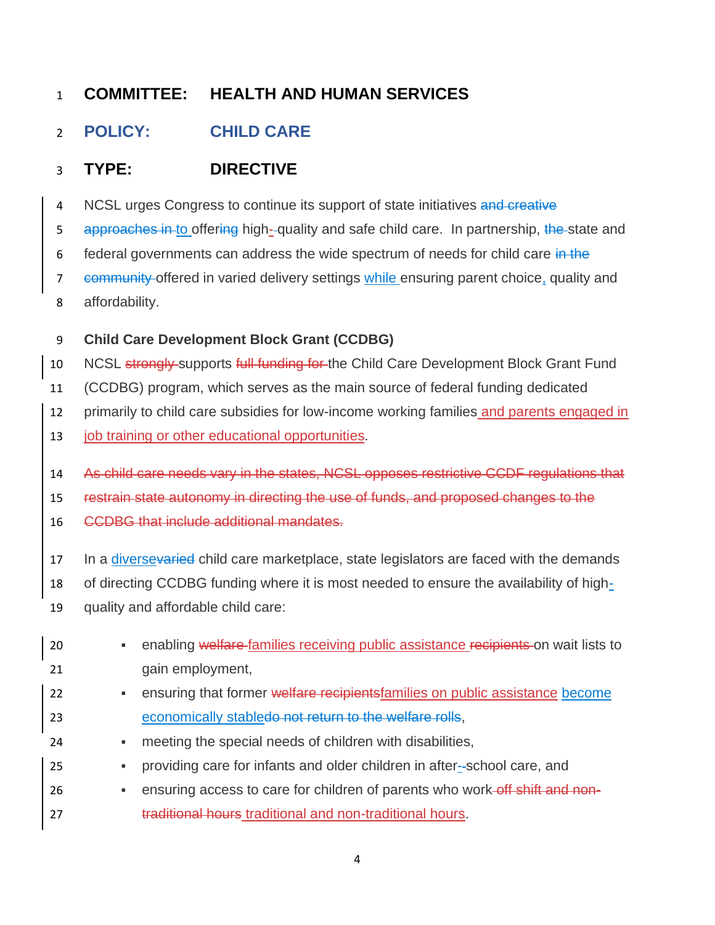# <span id="page-4-0"></span>**POLICY: CHILD CARE**

# **TYPE: DIRECTIVE**

4 NCSL urges Congress to continue its support of state initiatives and creative

5 approaches in to offering high-quality and safe child care. In partnership, the state and

6 federal governments can address the wide spectrum of needs for child care in the

7 community offered in varied delivery settings while ensuring parent choice, quality and affordability.

**Child Care Development Block Grant (CCDBG)**

10 NCSL strongly-supports full funding for the Child Care Development Block Grant Fund

(CCDBG) program, which serves as the main source of federal funding dedicated

primarily to child care subsidies for low-income working families and parents engaged in

13 job training or other educational opportunities.

As child care needs vary in the states, NCSL opposes restrictive CCDF regulations that

restrain state autonomy in directing the use of funds, and proposed changes to the

CCDBG that include additional mandates.

17 In a diversevaried child care marketplace, state legislators are faced with the demands

of directing CCDBG funding where it is most needed to ensure the availability of high-

quality and affordable child care:

| 20 | ٠ | enabling welfare families receiving public assistance recipients on wait lists to |
|----|---|-----------------------------------------------------------------------------------|
| 21 |   | gain employment,                                                                  |
| 22 | ٠ | ensuring that former welfare recipients families on public assistance become      |
| 23 |   | economically stabledo not return to the welfare rolls.                            |
| 24 | ٠ | meeting the special needs of children with disabilities,                          |
| 25 | ٠ | providing care for infants and older children in after-school care, and           |
| 26 | ٠ | ensuring access to care for children of parents who work-off shift and non-       |
| 27 |   | traditional hours traditional and non-traditional hours.                          |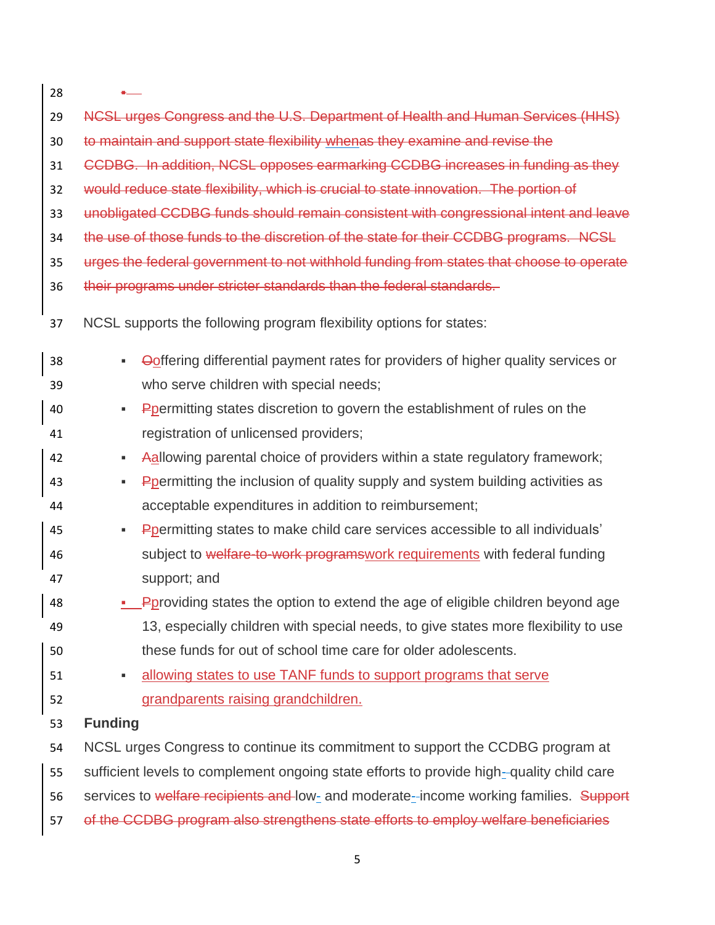| 28 |                                                                                          |
|----|------------------------------------------------------------------------------------------|
| 29 | NCSL urges Congress and the U.S. Department of Health and Human Services (HHS)           |
| 30 | to maintain and support state flexibility whenas they examine and revise the             |
| 31 | CCDBG. In addition, NCSL opposes earmarking CCDBG increases in funding as they           |
| 32 | would reduce state flexibility, which is crucial to state innovation. The portion of     |
| 33 | unobligated CCDBG funds should remain consistent with congressional intent and leave     |
| 34 | the use of those funds to the discretion of the state for their CCDBG programs. NCSL     |
| 35 | urges the federal government to not withhold funding from states that choose to operate  |
| 36 | their programs under stricter standards than the federal standards.                      |
| 37 | NCSL supports the following program flexibility options for states:                      |
| 38 | Ooffering differential payment rates for providers of higher quality services or<br>٠    |
| 39 | who serve children with special needs;                                                   |
| 40 | Ppermitting states discretion to govern the establishment of rules on the<br>٠           |
| 41 | registration of unlicensed providers;                                                    |
| 42 | Aallowing parental choice of providers within a state regulatory framework;<br>٠         |
| 43 | Ppermitting the inclusion of quality supply and system building activities as<br>٠       |
| 44 | acceptable expenditures in addition to reimbursement;                                    |
| 45 | Poermitting states to make child care services accessible to all individuals'<br>٠       |
| 46 | subject to welfare-to-work programs work requirements with federal funding               |
| 47 | support; and                                                                             |
| 48 | <b>Poroviding states the option to extend the age of eligible children beyond age</b>    |
| 49 | 13, especially children with special needs, to give states more flexibility to use       |
| 50 | these funds for out of school time care for older adolescents.                           |
| 51 | allowing states to use TANF funds to support programs that serve<br>٠                    |
| 52 | grandparents raising grandchildren.                                                      |
| 53 | <b>Funding</b>                                                                           |
| 54 | NCSL urges Congress to continue its commitment to support the CCDBG program at           |
| 55 | sufficient levels to complement ongoing state efforts to provide high-quality child care |
| 56 | services to welfare recipients and low- and moderate-income working families. Support    |
| 57 | of the CCDBG program also strengthens state efforts to employ welfare beneficiaries      |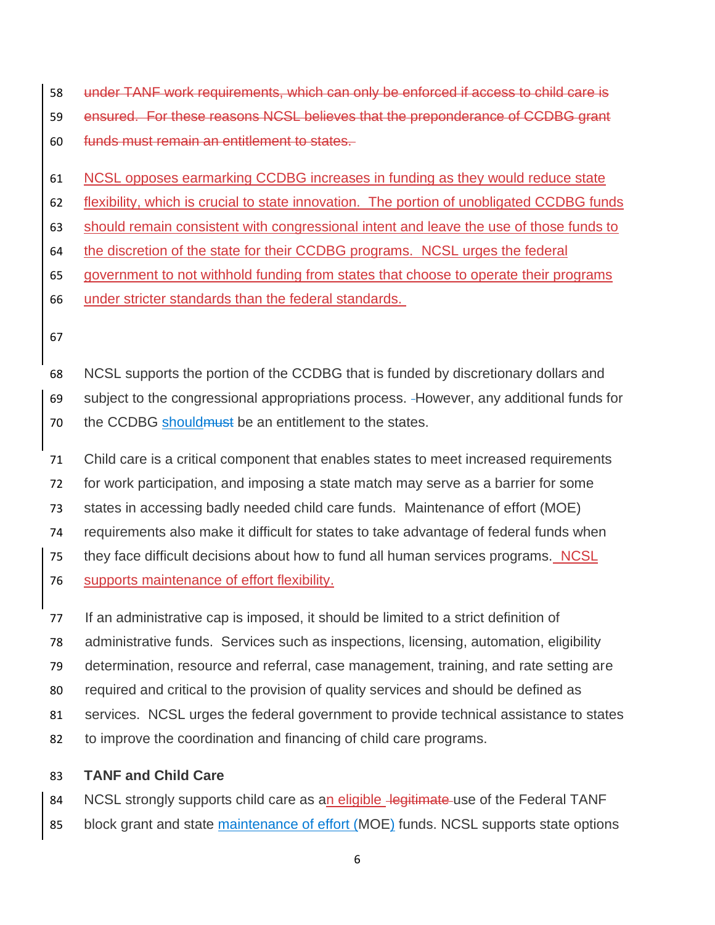under TANF work requirements, which can only be enforced if access to child care is ensured. For these reasons NCSL believes that the preponderance of CCDBG grant funds must remain an entitlement to states.

NCSL opposes earmarking CCDBG increases in funding as they would reduce state

flexibility, which is crucial to state innovation. The portion of unobligated CCDBG funds

should remain consistent with congressional intent and leave the use of those funds to

the discretion of the state for their CCDBG programs. NCSL urges the federal

government to not withhold funding from states that choose to operate their programs

- under stricter standards than the federal standards.
- 

 NCSL supports the portion of the CCDBG that is funded by discretionary dollars and subject to the congressional appropriations process. However, any additional funds for 70 the CCDBG should must be an entitlement to the states.

 Child care is a critical component that enables states to meet increased requirements for work participation, and imposing a state match may serve as a barrier for some states in accessing badly needed child care funds. Maintenance of effort (MOE) requirements also make it difficult for states to take advantage of federal funds when 75 they face difficult decisions about how to fund all human services programs. NCSL supports maintenance of effort flexibility.

 If an administrative cap is imposed, it should be limited to a strict definition of administrative funds. Services such as inspections, licensing, automation, eligibility determination, resource and referral, case management, training, and rate setting are required and critical to the provision of quality services and should be defined as services. NCSL urges the federal government to provide technical assistance to states to improve the coordination and financing of child care programs.

## **TANF and Child Care**

84 NCSL strongly supports child care as an eligible legitimate use of the Federal TANF 85 block grant and state maintenance of effort (MOE) funds. NCSL supports state options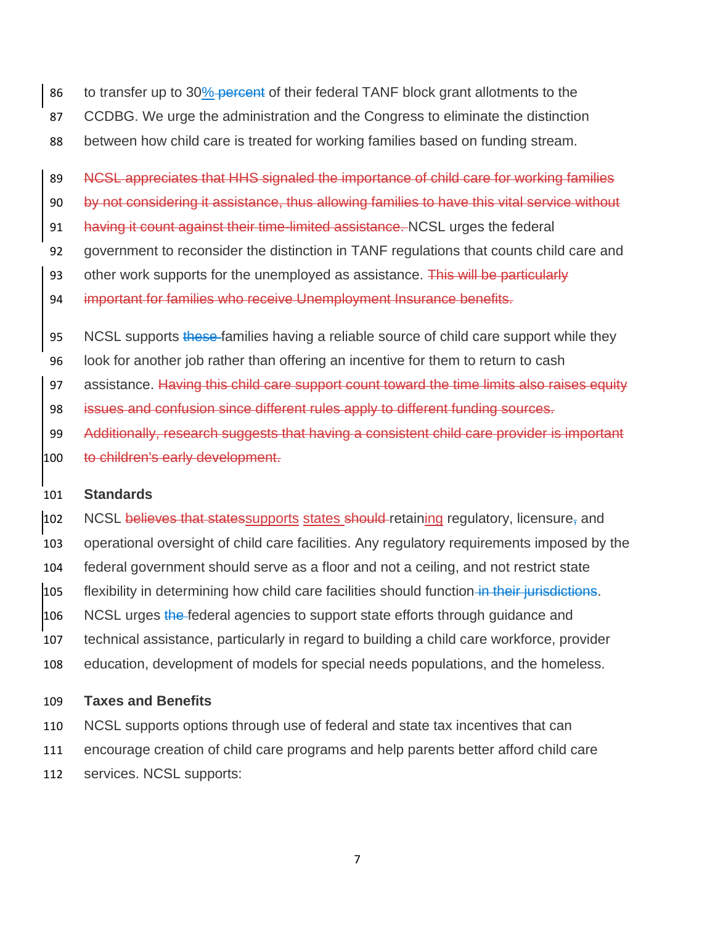- 86 to transfer up to 30% percent of their federal TANF block grant allotments to the
- CCDBG. We urge the administration and the Congress to eliminate the distinction
- between how child care is treated for working families based on funding stream.

89 NCSL appreciates that HHS signaled the importance of child care for working families

by not considering it assistance, thus allowing families to have this vital service without

- 91 having it count against their time-limited assistance. NCSL urges the federal
- government to reconsider the distinction in TANF regulations that counts child care and
- 93 other work supports for the unemployed as assistance. This will be particularly
- important for families who receive Unemployment Insurance benefits.
- 95 NCSL supports these-families having a reliable source of child care support while they
- look for another job rather than offering an incentive for them to return to cash
- 97 assistance. Having this child care support count toward the time limits also raises equity
- issues and confusion since different rules apply to different funding sources.
- Additionally, research suggests that having a consistent child care provider is important 100 to children's early development.

### **Standards**

102 NCSL believes that states supports states should retaining regulatory, licensure, and operational oversight of child care facilities. Any regulatory requirements imposed by the federal government should serve as a floor and not a ceiling, and not restrict state 105 flexibility in determining how child care facilities should function in their jurisdictions. 106 NCSL urges the federal agencies to support state efforts through guidance and technical assistance, particularly in regard to building a child care workforce, provider education, development of models for special needs populations, and the homeless.

### **Taxes and Benefits**

- NCSL supports options through use of federal and state tax incentives that can
- encourage creation of child care programs and help parents better afford child care
- services. NCSL supports: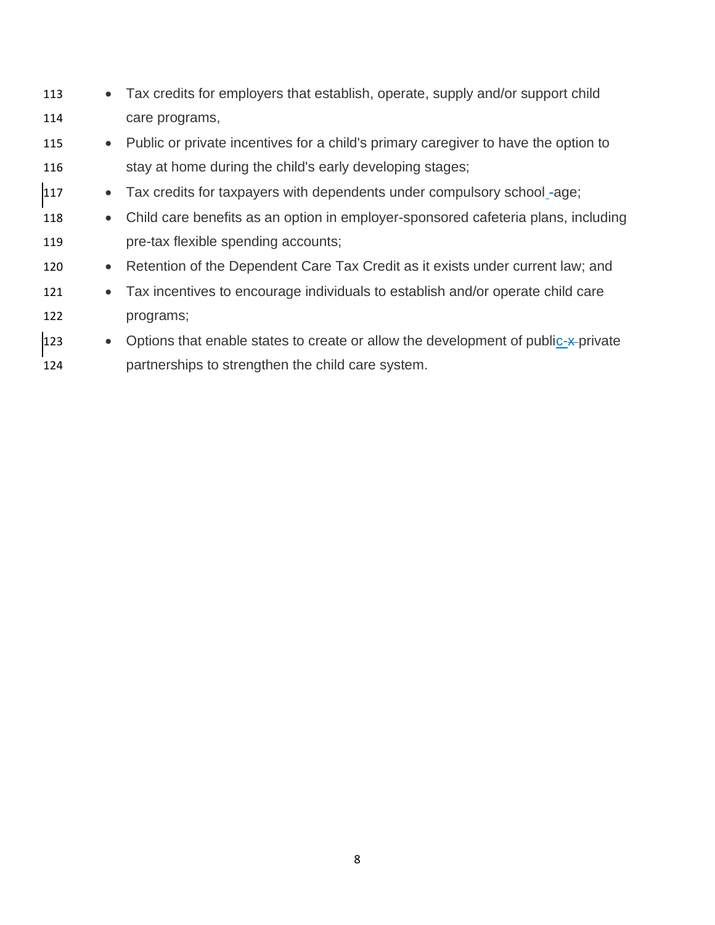- 113 Tax credits for employers that establish, operate, supply and/or support child 114 care programs,
- 115 Public or private incentives for a child's primary caregiver to have the option to 116 stay at home during the child's early developing stages;
- 117 Tax credits for taxpayers with dependents under compulsory school-age;
- 118 Child care benefits as an option in employer-sponsored cafeteria plans, including 119 pre-tax flexible spending accounts;
- 120 Retention of the Dependent Care Tax Credit as it exists under current law; and
- 121 Tax incentives to encourage individuals to establish and/or operate child care 122 programs;
- 123 Options that enable states to create or allow the development of public-x-private 124 partnerships to strengthen the child care system.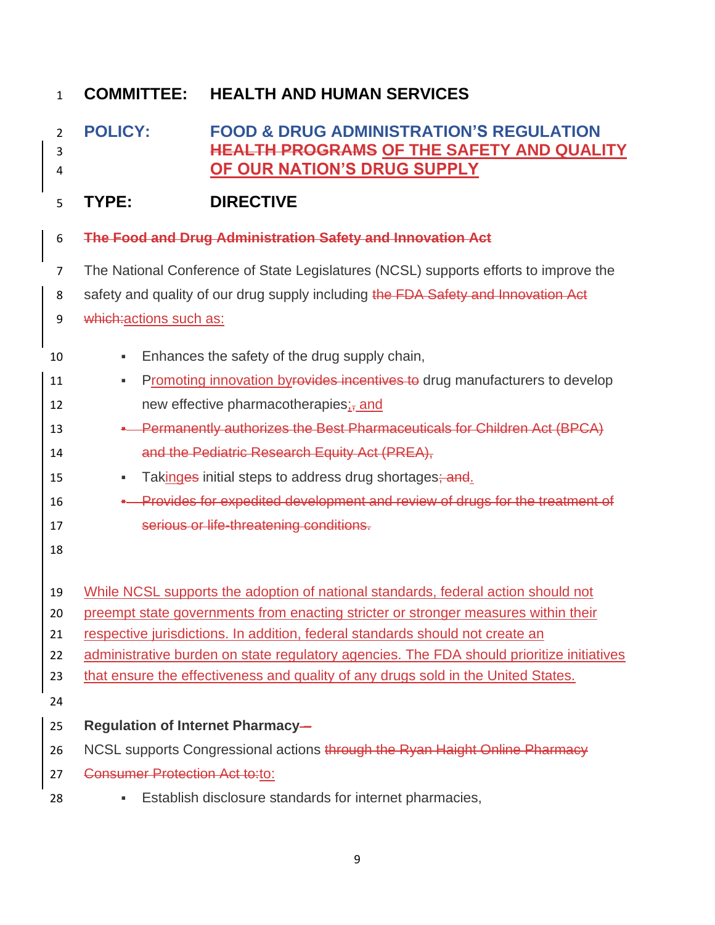<span id="page-9-0"></span> **POLICY: FOOD & DRUG ADMINISTRATION'S REGULATION HEALTH PROGRAMS OF THE SAFETY AND QUALITY OF OUR NATION'S DRUG SUPPLY**

# **TYPE: DIRECTIVE**

- **The Food and Drug Administration Safety and Innovation Act**
- The National Conference of State Legislatures (NCSL) supports efforts to improve the
- 8 safety and quality of our drug supply including the FDA Safety and Innovation Act
- 9 which: actions such as:
- **Enhances the safety of the drug supply chain,** 11 Promoting innovation byrovides incentives to drug manufacturers to develop 12 new effective pharmacotherapies; and **•** Permanently authorizes the Best Pharmaceuticals for Children Act (BPCA) and the Pediatric Research Equity Act (PREA), 15 Takinges initial steps to address drug shortages; and. **•** Provides for expedited development and review of drugs for the treatment of serious or life-threatening conditions. While NCSL supports the adoption of national standards, federal action should not preempt state governments from enacting stricter or stronger measures within their respective jurisdictions. In addition, federal standards should not create an 22 administrative burden on state regulatory agencies. The FDA should prioritize initiatives that ensure the effectiveness and quality of any drugs sold in the United States. **Regulation of Internet Pharmacy** – 26 NCSL supports Congressional actions through the Ryan Haight Online Pharmacy 27 Consumer Protection Act to:to: **Establish disclosure standards for internet pharmacies.**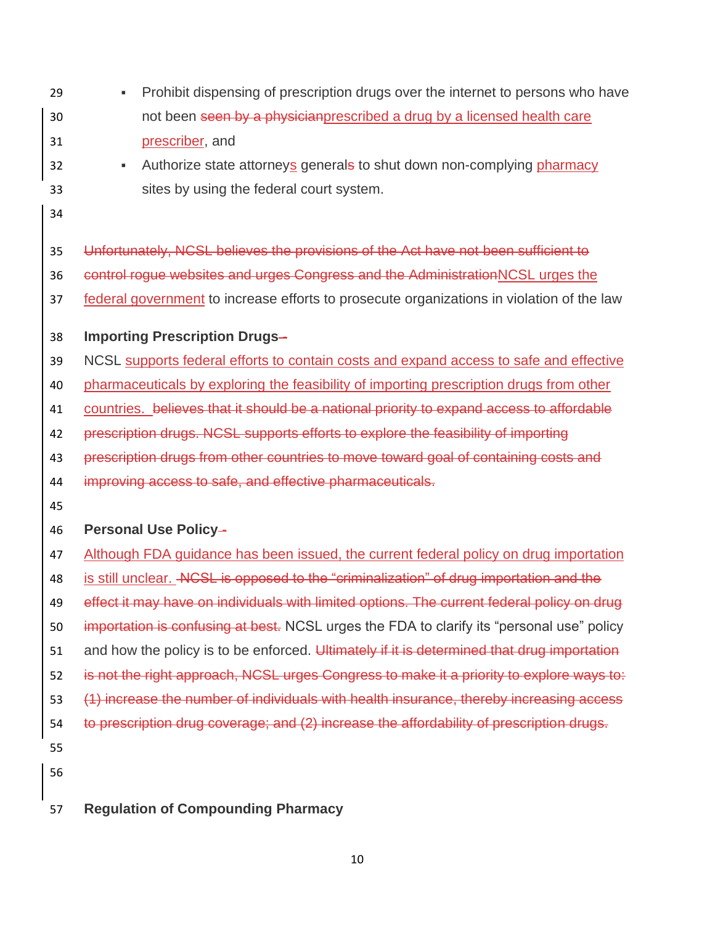- Prohibit dispensing of prescription drugs over the internet to persons who have 30 not been seen by a physician prescribed a drug by a licensed health care prescriber, and 32 • Authorize state attorneys generals to shut down non-complying pharmacy sites by using the federal court system. Unfortunately, NCSL believes the provisions of the Act have not been sufficient to control rogue websites and urges Congress and the AdministrationNCSL urges the
- federal government to increase efforts to prosecute organizations in violation of the law
- **Importing Prescription Drugs** -
- NCSL supports federal efforts to contain costs and expand access to safe and effective
- pharmaceuticals by exploring the feasibility of importing prescription drugs from other
- countries. believes that it should be a national priority to expand access to affordable
- prescription drugs. NCSL supports efforts to explore the feasibility of importing
- prescription drugs from other countries to move toward goal of containing costs and
- improving access to safe, and effective pharmaceuticals.
- 

## **Personal Use Policy** -

- Although FDA guidance has been issued, the current federal policy on drug importation
- 48 is still unclear. ACSL is opposed to the "criminalization" of drug importation and the
- 49 effect it may have on individuals with limited options. The current federal policy on drug
- 50 importation is confusing at best. NCSL urges the FDA to clarify its "personal use" policy
- 51 and how the policy is to be enforced. Ultimately if it is determined that drug importation
- 52 is not the right approach, NCSL urges Congress to make it a priority to explore ways to:
- (1) increase the number of individuals with health insurance, thereby increasing access
- to prescription drug coverage; and (2) increase the affordability of prescription drugs.
- 
- 
- **Regulation of Compounding Pharmacy**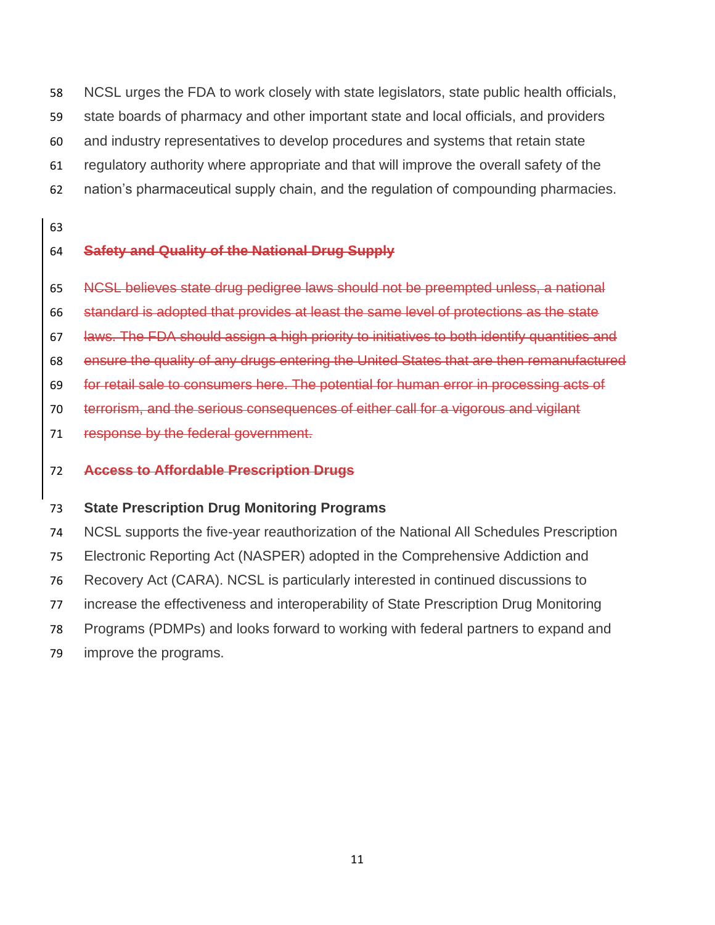NCSL urges the FDA to work closely with state legislators, state public health officials,

- state boards of pharmacy and other important state and local officials, and providers
- and industry representatives to develop procedures and systems that retain state
- regulatory authority where appropriate and that will improve the overall safety of the
- nation's pharmaceutical supply chain, and the regulation of compounding pharmacies.
- 

## **Safety and Quality of the National Drug Supply**

- NCSL believes state drug pedigree laws should not be preempted unless, a national
- standard is adopted that provides at least the same level of protections as the state
- laws. The FDA should assign a high priority to initiatives to both identify quantities and
- ensure the quality of any drugs entering the United States that are then remanufactured
- for retail sale to consumers here. The potential for human error in processing acts of
- terrorism, and the serious consequences of either call for a vigorous and vigilant
- 71 response by the federal government.

## **Access to Affordable Prescription Drugs**

## **State Prescription Drug Monitoring Programs**

- NCSL supports the five-year reauthorization of the National All Schedules Prescription Electronic Reporting Act (NASPER) adopted in the Comprehensive Addiction and Recovery Act (CARA). NCSL is particularly interested in continued discussions to increase the effectiveness and interoperability of State Prescription Drug Monitoring
- Programs (PDMPs) and looks forward to working with federal partners to expand and
- improve the programs.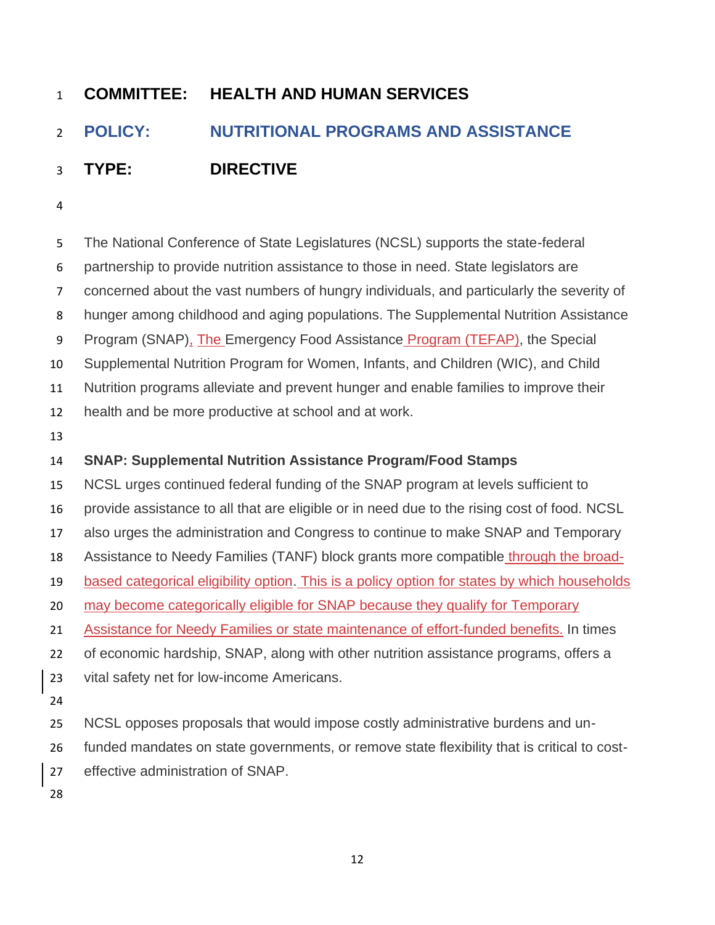# <span id="page-12-0"></span>**POLICY: NUTRITIONAL PROGRAMS AND ASSISTANCE**

- **TYPE: DIRECTIVE**
- 

 The National Conference of State Legislatures (NCSL) supports the state-federal partnership to provide nutrition assistance to those in need. State legislators are concerned about the vast numbers of hungry individuals, and particularly the severity of hunger among childhood and aging populations. The Supplemental Nutrition Assistance 9 Program (SNAP), The Emergency Food Assistance Program (TEFAP), the Special Supplemental Nutrition Program for Women, Infants, and Children (WIC), and Child Nutrition programs alleviate and prevent hunger and enable families to improve their health and be more productive at school and at work. **SNAP: Supplemental Nutrition Assistance Program/Food Stamps** NCSL urges continued federal funding of the SNAP program at levels sufficient to provide assistance to all that are eligible or in need due to the rising cost of food. NCSL also urges the administration and Congress to continue to make SNAP and Temporary Assistance to Needy Families (TANF) block grants more compatible through the broad- based categorical eligibility option. This is a policy option for states by which households 20 may become categorically eligible for SNAP because they qualify for Temporary 21 Assistance for Needy Families or state maintenance of effort-funded benefits. In times of economic hardship, SNAP, along with other nutrition assistance programs, offers a vital safety net for low-income Americans. NCSL opposes proposals that would impose costly administrative burdens and un- funded mandates on state governments, or remove state flexibility that is critical to cost- effective administration of SNAP.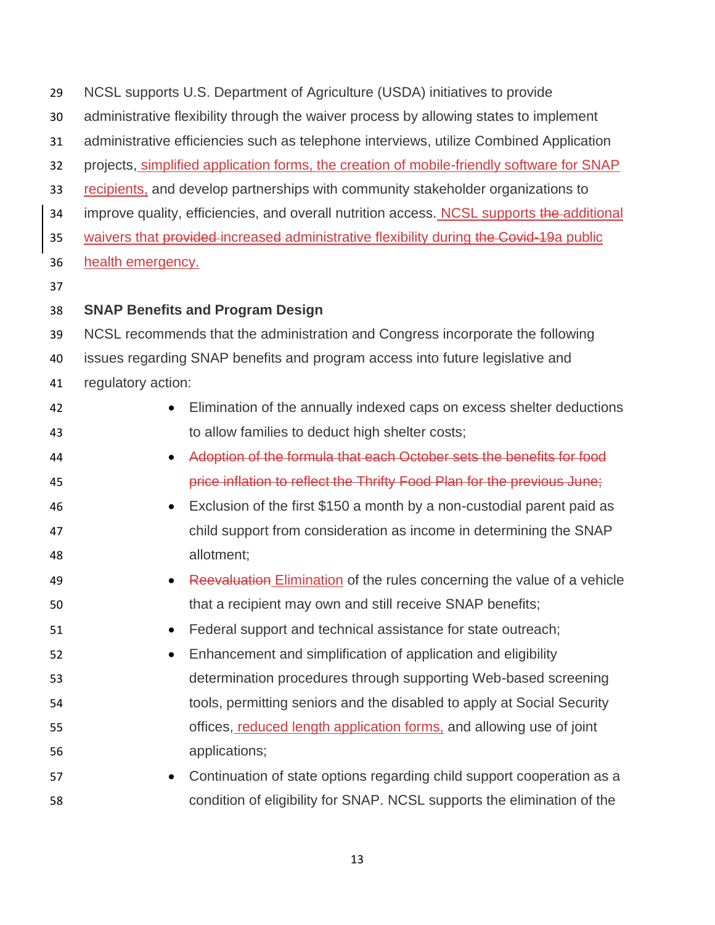| 29 | NCSL supports U.S. Department of Agriculture (USDA) initiatives to provide                |
|----|-------------------------------------------------------------------------------------------|
| 30 | administrative flexibility through the waiver process by allowing states to implement     |
| 31 | administrative efficiencies such as telephone interviews, utilize Combined Application    |
| 32 | projects, simplified application forms, the creation of mobile-friendly software for SNAP |
| 33 | recipients, and develop partnerships with community stakeholder organizations to          |
| 34 | improve quality, efficiencies, and overall nutrition access. NCSL supports the additional |
| 35 | waivers that provided increased administrative flexibility during the Covid-19a public    |
| 36 | health emergency.                                                                         |
| 37 |                                                                                           |
| 38 | <b>SNAP Benefits and Program Design</b>                                                   |
| 39 | NCSL recommends that the administration and Congress incorporate the following            |
| 40 | issues regarding SNAP benefits and program access into future legislative and             |
| 41 | regulatory action:                                                                        |
| 42 | Elimination of the annually indexed caps on excess shelter deductions                     |
| 43 | to allow families to deduct high shelter costs;                                           |
| 44 | Adoption of the formula that each October sets the benefits for food<br>$\bullet$         |
| 45 | price inflation to reflect the Thrifty Food Plan for the previous June;                   |
| 46 | Exclusion of the first \$150 a month by a non-custodial parent paid as<br>$\bullet$       |
| 47 | child support from consideration as income in determining the SNAP                        |
| 48 | allotment;                                                                                |
| 49 | Reevaluation Elimination of the rules concerning the value of a vehicle                   |
| 50 | that a recipient may own and still receive SNAP benefits;                                 |
| 51 | Federal support and technical assistance for state outreach;                              |
| 52 | Enhancement and simplification of application and eligibility<br>$\bullet$                |
| 53 | determination procedures through supporting Web-based screening                           |
| 54 | tools, permitting seniors and the disabled to apply at Social Security                    |
| 55 | offices, reduced length application forms, and allowing use of joint                      |
| 56 | applications;                                                                             |
| 57 | Continuation of state options regarding child support cooperation as a<br>$\bullet$       |
| 58 | condition of eligibility for SNAP. NCSL supports the elimination of the                   |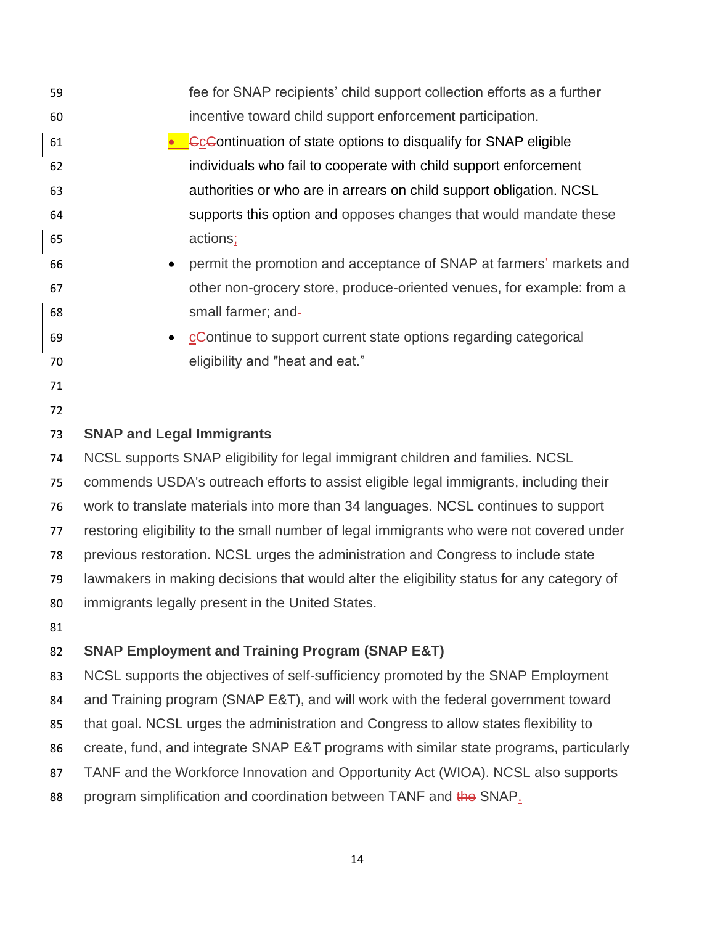| 59 | fee for SNAP recipients' child support collection efforts as a further                       |
|----|----------------------------------------------------------------------------------------------|
| 60 | incentive toward child support enforcement participation.                                    |
| 61 | <b>Co</b> Continuation of state options to disqualify for SNAP eligible                      |
| 62 | individuals who fail to cooperate with child support enforcement                             |
| 63 | authorities or who are in arrears on child support obligation. NCSL                          |
| 64 | supports this option and opposes changes that would mandate these                            |
| 65 | actions;                                                                                     |
| 66 | permit the promotion and acceptance of SNAP at farmers <sup>2</sup> markets and<br>$\bullet$ |
| 67 | other non-grocery store, produce-oriented venues, for example: from a                        |
| 68 | small farmer; and-                                                                           |
| 69 | ce Continue to support current state options regarding categorical<br>$\bullet$              |
| 70 | eligibility and "heat and eat."                                                              |
| 71 |                                                                                              |
| 72 |                                                                                              |
| 73 | <b>SNAP and Legal Immigrants</b>                                                             |
| 74 | NCSL supports SNAP eligibility for legal immigrant children and families. NCSL               |
| 75 | commends USDA's outreach efforts to assist eligible legal immigrants, including their        |
| 76 | work to translate materials into more than 34 languages. NCSL continues to support           |
| 77 | restoring eligibility to the small number of legal immigrants who were not covered under     |
| 78 | previous restoration. NCSL urges the administration and Congress to include state            |
| 79 | lawmakers in making decisions that would alter the eligibility status for any category of    |
| 80 | immigrants legally present in the United States.                                             |
| 81 |                                                                                              |
| 82 | <b>SNAP Employment and Training Program (SNAP E&amp;T)</b>                                   |
| 83 | NCSL supports the objectives of self-sufficiency promoted by the SNAP Employment             |
| 84 | and Training program (SNAP E&T), and will work with the federal government toward            |
| 85 | that goal. NCSL urges the administration and Congress to allow states flexibility to         |
| 86 | create, fund, and integrate SNAP E&T programs with similar state programs, particularly      |
| 87 | TANF and the Workforce Innovation and Opportunity Act (WIOA). NCSL also supports             |
| 88 | program simplification and coordination between TANF and the SNAP.                           |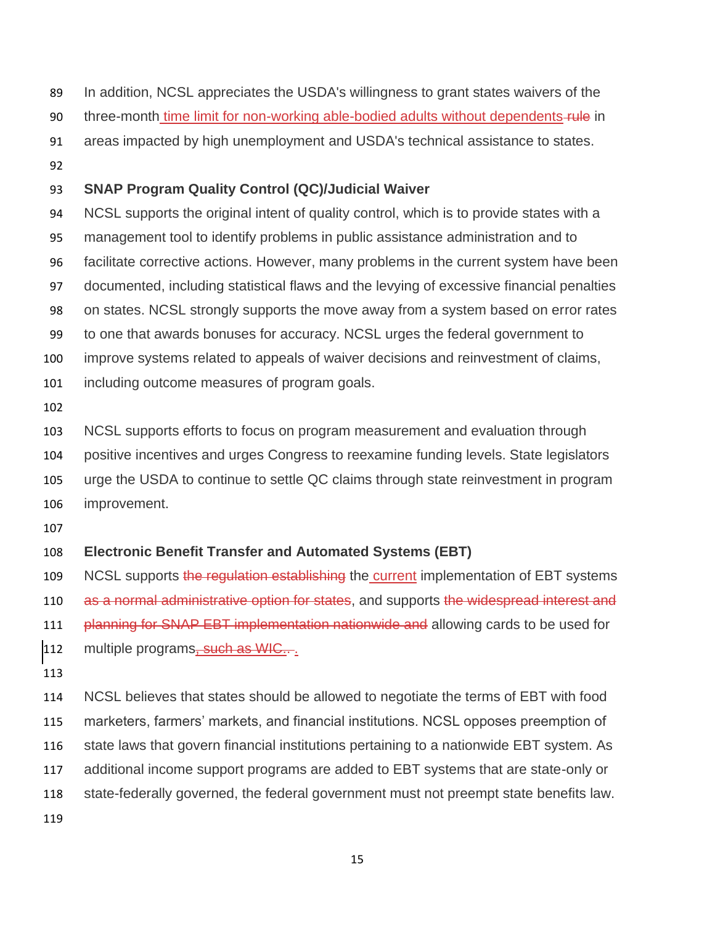- In addition, NCSL appreciates the USDA's willingness to grant states waivers of the
- 90 three-month time limit for non-working able-bodied adults without dependents-rule in
- areas impacted by high unemployment and USDA's technical assistance to states.
- 

### **SNAP Program Quality Control (QC)/Judicial Waiver**

- NCSL supports the original intent of quality control, which is to provide states with a management tool to identify problems in public assistance administration and to facilitate corrective actions. However, many problems in the current system have been documented, including statistical flaws and the levying of excessive financial penalties on states. NCSL strongly supports the move away from a system based on error rates to one that awards bonuses for accuracy. NCSL urges the federal government to improve systems related to appeals of waiver decisions and reinvestment of claims, including outcome measures of program goals.
- 

 NCSL supports efforts to focus on program measurement and evaluation through positive incentives and urges Congress to reexamine funding levels. State legislators urge the USDA to continue to settle QC claims through state reinvestment in program improvement.

### **Electronic Benefit Transfer and Automated Systems (EBT)**

109 NCSL supports the regulation establishing the current implementation of EBT systems 110 as a normal administrative option for states, and supports the widespread interest and **Planning for SNAP EBT implementation nationwide and allowing cards to be used for** 

- 112 multiple programs, such as WIC...
- 

 NCSL believes that states should be allowed to negotiate the terms of EBT with food marketers, farmers' markets, and financial institutions. NCSL opposes preemption of state laws that govern financial institutions pertaining to a nationwide EBT system. As additional income support programs are added to EBT systems that are state-only or state-federally governed, the federal government must not preempt state benefits law.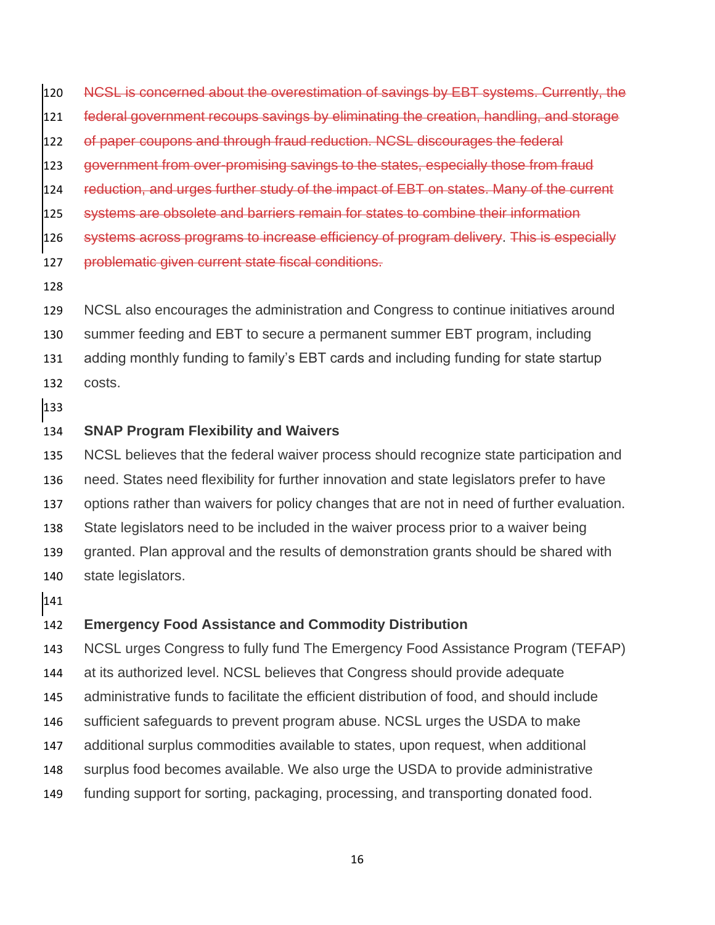NCSL is concerned about the overestimation of savings by EBT systems. Currently, the

federal government recoups savings by eliminating the creation, handling, and storage

of paper coupons and through fraud reduction. NCSL discourages the federal

123 government from over-promising savings to the states, especially those from fraud

124 reduction, and urges further study of the impact of EBT on states. Many of the current

- systems are obsolete and barriers remain for states to combine their information
- systems across programs to increase efficiency of program delivery. This is especially
- 127 problematic given current state fiscal conditions.
- 

 NCSL also encourages the administration and Congress to continue initiatives around summer feeding and EBT to secure a permanent summer EBT program, including

- adding monthly funding to family's EBT cards and including funding for state startup
- costs.
- 

#### **SNAP Program Flexibility and Waivers**

NCSL believes that the federal waiver process should recognize state participation and

- need. States need flexibility for further innovation and state legislators prefer to have
- options rather than waivers for policy changes that are not in need of further evaluation.
- State legislators need to be included in the waiver process prior to a waiver being
- granted. Plan approval and the results of demonstration grants should be shared with
- state legislators.
- 

### **Emergency Food Assistance and Commodity Distribution**

NCSL urges Congress to fully fund The Emergency Food Assistance Program (TEFAP)

at its authorized level. NCSL believes that Congress should provide adequate

- administrative funds to facilitate the efficient distribution of food, and should include
- sufficient safeguards to prevent program abuse. NCSL urges the USDA to make
- additional surplus commodities available to states, upon request, when additional
- surplus food becomes available. We also urge the USDA to provide administrative
- funding support for sorting, packaging, processing, and transporting donated food.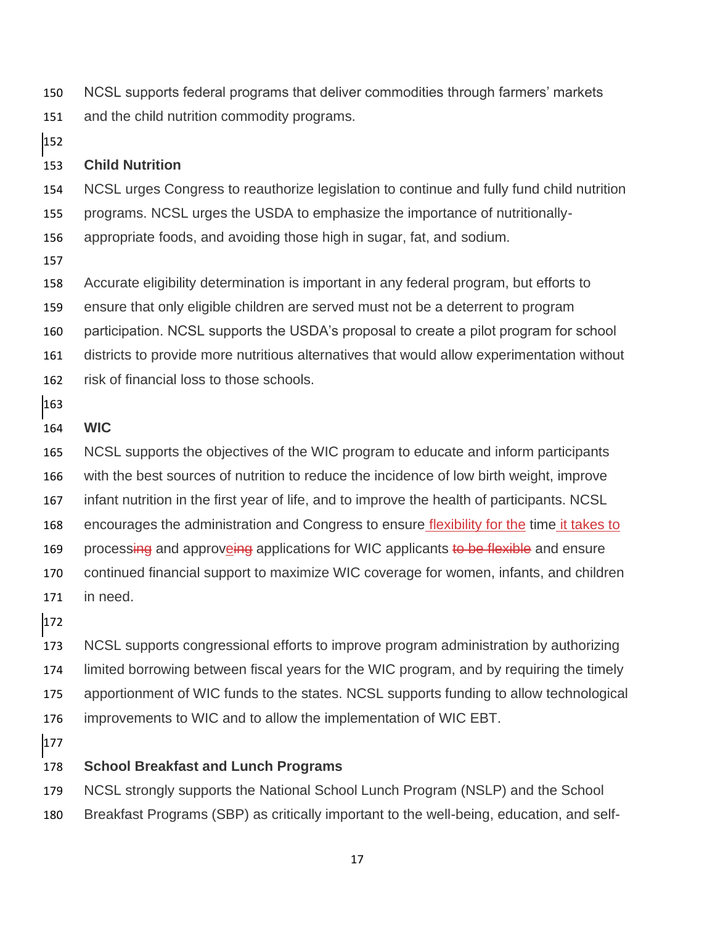NCSL supports federal programs that deliver commodities through farmers' markets and the child nutrition commodity programs.

### **Child Nutrition**

NCSL urges Congress to reauthorize legislation to continue and fully fund child nutrition

programs. NCSL urges the USDA to emphasize the importance of nutritionally-

appropriate foods, and avoiding those high in sugar, fat, and sodium.

Accurate eligibility determination is important in any federal program, but efforts to

ensure that only eligible children are served must not be a deterrent to program

participation. NCSL supports the USDA's proposal to create a pilot program for school

districts to provide more nutritious alternatives that would allow experimentation without

risk of financial loss to those schools.

## **WIC**

 NCSL supports the objectives of the WIC program to educate and inform participants with the best sources of nutrition to reduce the incidence of low birth weight, improve infant nutrition in the first year of life, and to improve the health of participants. NCSL encourages the administration and Congress to ensure flexibility for the time it takes to 169 processing and approveing applications for WIC applicants to be flexible and ensure continued financial support to maximize WIC coverage for women, infants, and children

in need.

 NCSL supports congressional efforts to improve program administration by authorizing limited borrowing between fiscal years for the WIC program, and by requiring the timely apportionment of WIC funds to the states. NCSL supports funding to allow technological improvements to WIC and to allow the implementation of WIC EBT.

## **School Breakfast and Lunch Programs**

NCSL strongly supports the National School Lunch Program (NSLP) and the School

Breakfast Programs (SBP) as critically important to the well-being, education, and self-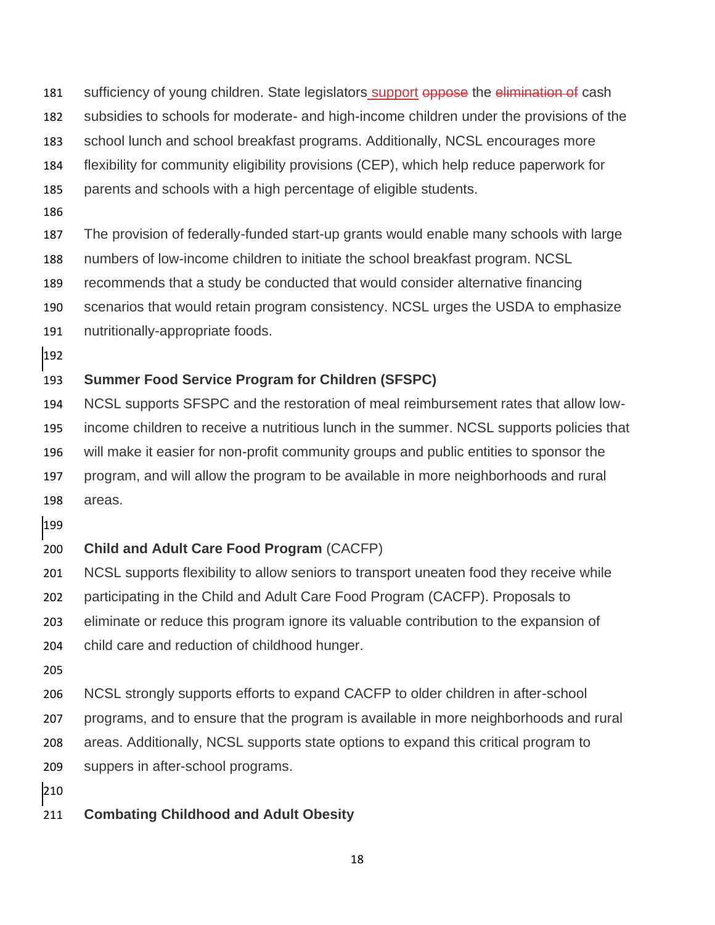- 181 sufficiency of young children. State legislators support oppose the elimination of cash
- subsidies to schools for moderate- and high-income children under the provisions of the
- school lunch and school breakfast programs. Additionally, NCSL encourages more
- flexibility for community eligibility provisions (CEP), which help reduce paperwork for
- parents and schools with a high percentage of eligible students.
- 
- The provision of federally-funded start-up grants would enable many schools with large
- numbers of low-income children to initiate the school breakfast program. NCSL
- recommends that a study be conducted that would consider alternative financing
- scenarios that would retain program consistency. NCSL urges the USDA to emphasize
- nutritionally-appropriate foods.
- 

## **Summer Food Service Program for Children (SFSPC)**

- NCSL supports SFSPC and the restoration of meal reimbursement rates that allow low- income children to receive a nutritious lunch in the summer. NCSL supports policies that will make it easier for non-profit community groups and public entities to sponsor the program, and will allow the program to be available in more neighborhoods and rural areas.
- 

## **Child and Adult Care Food Program** (CACFP)

- NCSL supports flexibility to allow seniors to transport uneaten food they receive while participating in the Child and Adult Care Food Program (CACFP). Proposals to eliminate or reduce this program ignore its valuable contribution to the expansion of
- child care and reduction of childhood hunger.
- 
- NCSL strongly supports efforts to expand CACFP to older children in after-school programs, and to ensure that the program is available in more neighborhoods and rural areas. Additionally, NCSL supports state options to expand this critical program to
- suppers in after-school programs.
- 
- **Combating Childhood and Adult Obesity**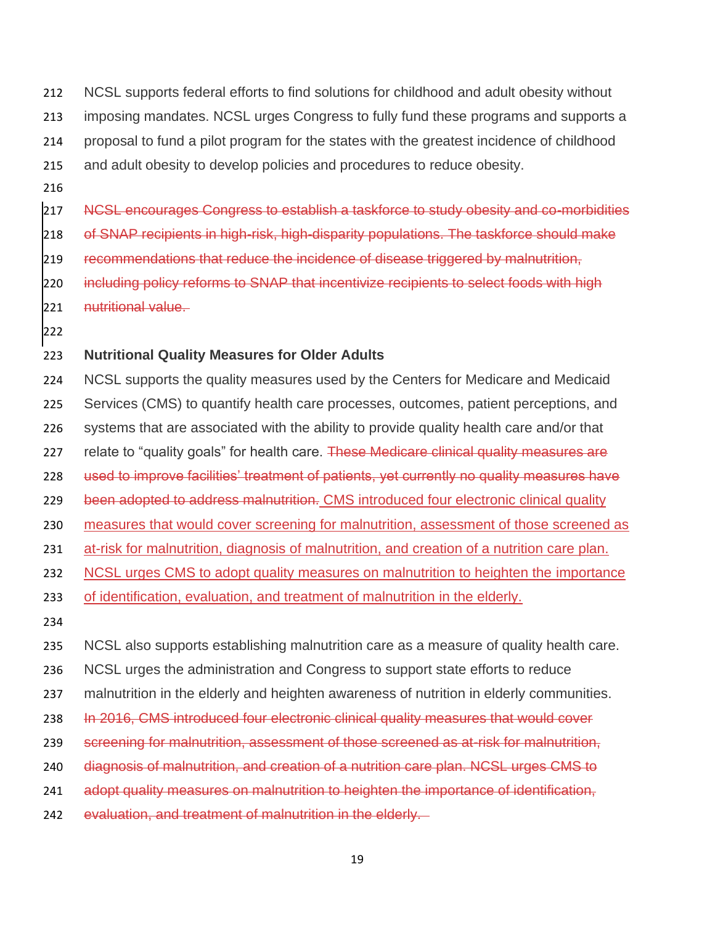- 212 NCSL supports federal efforts to find solutions for childhood and adult obesity without 213 imposing mandates. NCSL urges Congress to fully fund these programs and supports a 214 proposal to fund a pilot program for the states with the greatest incidence of childhood
- 215 and adult obesity to develop policies and procedures to reduce obesity.
- 216

217 NCSL encourages Congress to establish a taskforce to study obesity and co-morbidities

- 218 of SNAP recipients in high-risk, high-disparity populations. The taskforce should make
- 219 recommendations that reduce the incidence of disease triggered by malnutrition,
- 220 including policy reforms to SNAP that incentivize recipients to select foods with high
- 221 nutritional value.
- 222

### 223 **Nutritional Quality Measures for Older Adults**

- 224 NCSL supports the quality measures used by the Centers for Medicare and Medicaid
- 225 Services (CMS) to quantify health care processes, outcomes, patient perceptions, and
- 226 systems that are associated with the ability to provide quality health care and/or that
- 227 relate to "quality goals" for health care. These Medicare clinical quality measures are
- 228 used to improve facilities' treatment of patients, yet currently no quality measures have
- 229 been adopted to address malnutrition. CMS introduced four electronic clinical quality
- 230 measures that would cover screening for malnutrition, assessment of those screened as
- 231 at-risk for malnutrition, diagnosis of malnutrition, and creation of a nutrition care plan.
- 232 NCSL urges CMS to adopt quality measures on malnutrition to heighten the importance
- 233 of identification, evaluation, and treatment of malnutrition in the elderly.
- 234
- 235 NCSL also supports establishing malnutrition care as a measure of quality health care.
- 236 NCSL urges the administration and Congress to support state efforts to reduce
- 237 malnutrition in the elderly and heighten awareness of nutrition in elderly communities.
- 238 In 2016, CMS introduced four electronic clinical quality measures that would cover
- 239 screening for malnutrition, assessment of those screened as at-risk for malnutrition,
- 240 diagnosis of malnutrition, and creation of a nutrition care plan. NCSL urges CMS to
- 241 adopt quality measures on malnutrition to heighten the importance of identification,
- 242 evaluation, and treatment of malnutrition in the elderly.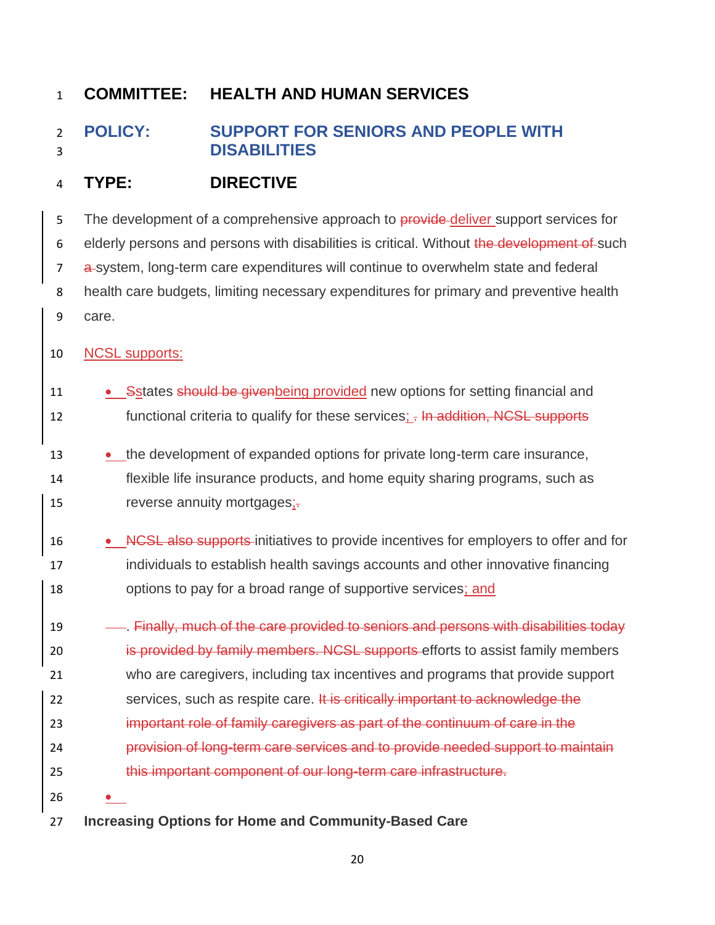# <span id="page-20-0"></span> **POLICY: SUPPORT FOR SENIORS AND PEOPLE WITH DISABILITIES**

## **TYPE: DIRECTIVE**

5 The development of a comprehensive approach to provide-deliver support services for 6 elderly persons and persons with disabilities is critical. Without the development of such 7 a-system, long-term care expenditures will continue to overwhelm state and federal health care budgets, limiting necessary expenditures for primary and preventive health care.

## NCSL supports:

- 11 Setates should be givenbeing provided new options for setting financial and 12 functional criteria to qualify for these services;  $\frac{1}{2}$  In addition, NCSL supports
- the development of expanded options for private long-term care insurance,
- flexible life insurance products, and home equity sharing programs, such as 15 reverse annuity mortgages;-
- 16 NCSL also supports-initiatives to provide incentives for employers to offer and for individuals to establish health savings accounts and other innovative financing 18 options to pay for a broad range of supportive services; and

19 . Finally, much of the care provided to seniors and persons with disabilities today 20 is provided by family members. NCSL supports efforts to assist family members who are caregivers, including tax incentives and programs that provide support 22 services, such as respite care. It is critically important to acknowledge the important role of family caregivers as part of the continuum of care in the provision of long-term care services and to provide needed support to maintain this important component of our long-term care infrastructure.

- •
- **Increasing Options for Home and Community-Based Care**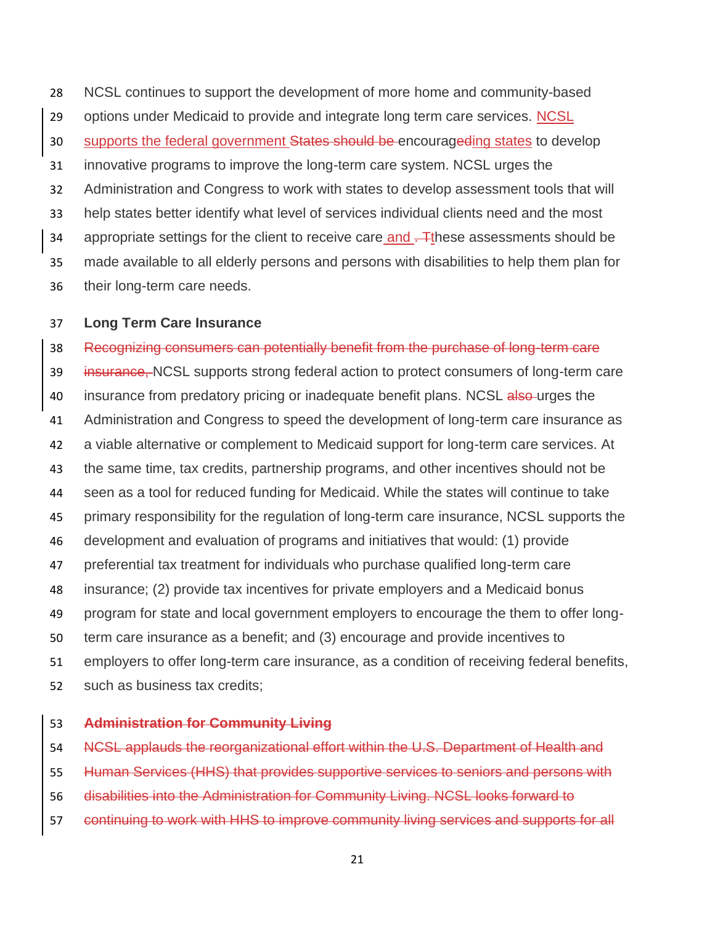NCSL continues to support the development of more home and community-based 29 options under Medicaid to provide and integrate long term care services. NCSL 30 supports the federal government States should be encourageding states to develop innovative programs to improve the long-term care system. NCSL urges the Administration and Congress to work with states to develop assessment tools that will help states better identify what level of services individual clients need and the most 34 appropriate settings for the client to receive care and . These assessments should be made available to all elderly persons and persons with disabilities to help them plan for their long-term care needs.

#### **Long Term Care Insurance**

 Recognizing consumers can potentially benefit from the purchase of long-term care 39 insurance, NCSL supports strong federal action to protect consumers of long-term care 40 insurance from predatory pricing or inadequate benefit plans. NCSL also-urges the Administration and Congress to speed the development of long-term care insurance as a viable alternative or complement to Medicaid support for long-term care services. At the same time, tax credits, partnership programs, and other incentives should not be seen as a tool for reduced funding for Medicaid. While the states will continue to take primary responsibility for the regulation of long-term care insurance, NCSL supports the development and evaluation of programs and initiatives that would: (1) provide preferential tax treatment for individuals who purchase qualified long-term care insurance; (2) provide tax incentives for private employers and a Medicaid bonus program for state and local government employers to encourage the them to offer long- term care insurance as a benefit; and (3) encourage and provide incentives to employers to offer long-term care insurance, as a condition of receiving federal benefits, such as business tax credits;

#### **Administration for Community Living**

NCSL applauds the reorganizational effort within the U.S. Department of Health and

Human Services (HHS) that provides supportive services to seniors and persons with

disabilities into the Administration for Community Living. NCSL looks forward to

continuing to work with HHS to improve community living services and supports for all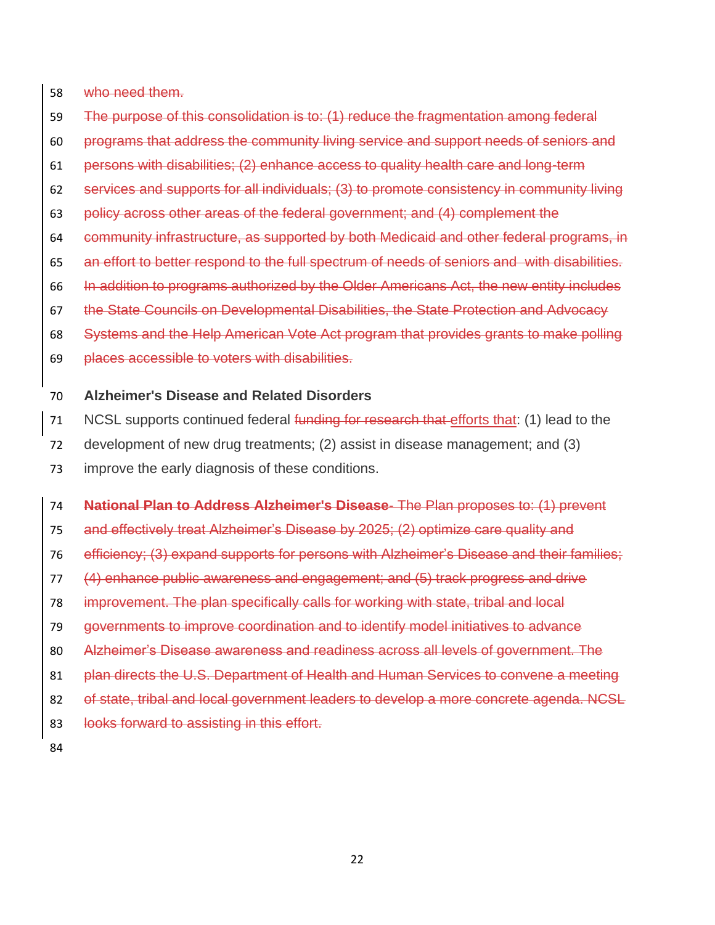who need them.

- The purpose of this consolidation is to: (1) reduce the fragmentation among federal
- programs that address the community living service and support needs of seniors and
- persons with disabilities; (2) enhance access to quality health care and long-term
- services and supports for all individuals; (3) to promote consistency in community living
- policy across other areas of the federal government; and (4) complement the
- community infrastructure, as supported by both Medicaid and other federal programs, in
- an effort to better respond to the full spectrum of needs of seniors and with disabilities.
- In addition to programs authorized by the Older Americans Act, the new entity includes
- the State Councils on Developmental Disabilities, the State Protection and Advocacy
- Systems and the Help American Vote Act program that provides grants to make polling
- places accessible to voters with disabilities.

## **Alzheimer's Disease and Related Disorders**

- 71 NCSL supports continued federal funding for research that efforts that: (1) lead to the
- development of new drug treatments; (2) assist in disease management; and (3)
- improve the early diagnosis of these conditions.

 **National Plan to Address Alzheimer's Disease**- The Plan proposes to: (1) prevent and effectively treat Alzheimer's Disease by 2025; (2) optimize care quality and efficiency; (3) expand supports for persons with Alzheimer's Disease and their families; (4) enhance public awareness and engagement; and (5) track progress and drive improvement. The plan specifically calls for working with state, tribal and local governments to improve coordination and to identify model initiatives to advance Alzheimer's Disease awareness and readiness across all levels of government. The 81 plan directs the U.S. Department of Health and Human Services to convene a meeting 82 of state, tribal and local government leaders to develop a more concrete agenda. NCSL 83 looks forward to assisting in this effort.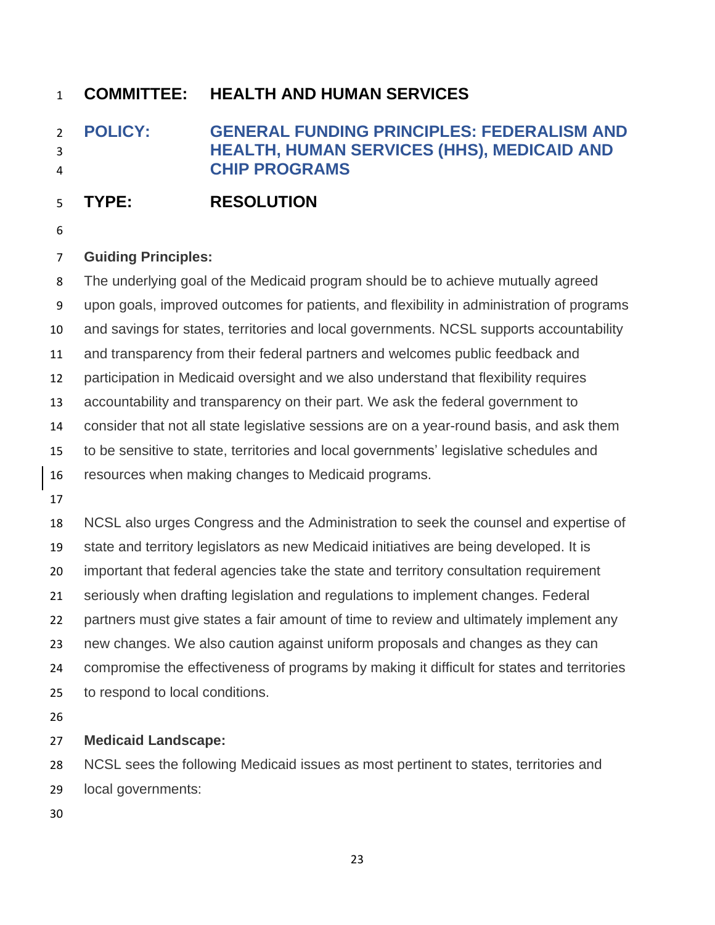# <span id="page-23-0"></span> **POLICY: GENERAL FUNDING PRINCIPLES: FEDERALISM AND HEALTH, HUMAN SERVICES (HHS), MEDICAID AND CHIP PROGRAMS**

# **TYPE: RESOLUTION**

## **Guiding Principles:**

 The underlying goal of the Medicaid program should be to achieve mutually agreed upon goals, improved outcomes for patients, and flexibility in administration of programs and savings for states, territories and local governments. NCSL supports accountability and transparency from their federal partners and welcomes public feedback and participation in Medicaid oversight and we also understand that flexibility requires accountability and transparency on their part. We ask the federal government to consider that not all state legislative sessions are on a year-round basis, and ask them to be sensitive to state, territories and local governments' legislative schedules and resources when making changes to Medicaid programs. NCSL also urges Congress and the Administration to seek the counsel and expertise of state and territory legislators as new Medicaid initiatives are being developed. It is important that federal agencies take the state and territory consultation requirement seriously when drafting legislation and regulations to implement changes. Federal partners must give states a fair amount of time to review and ultimately implement any new changes. We also caution against uniform proposals and changes as they can compromise the effectiveness of programs by making it difficult for states and territories to respond to local conditions.

## **Medicaid Landscape:**

 NCSL sees the following Medicaid issues as most pertinent to states, territories and local governments: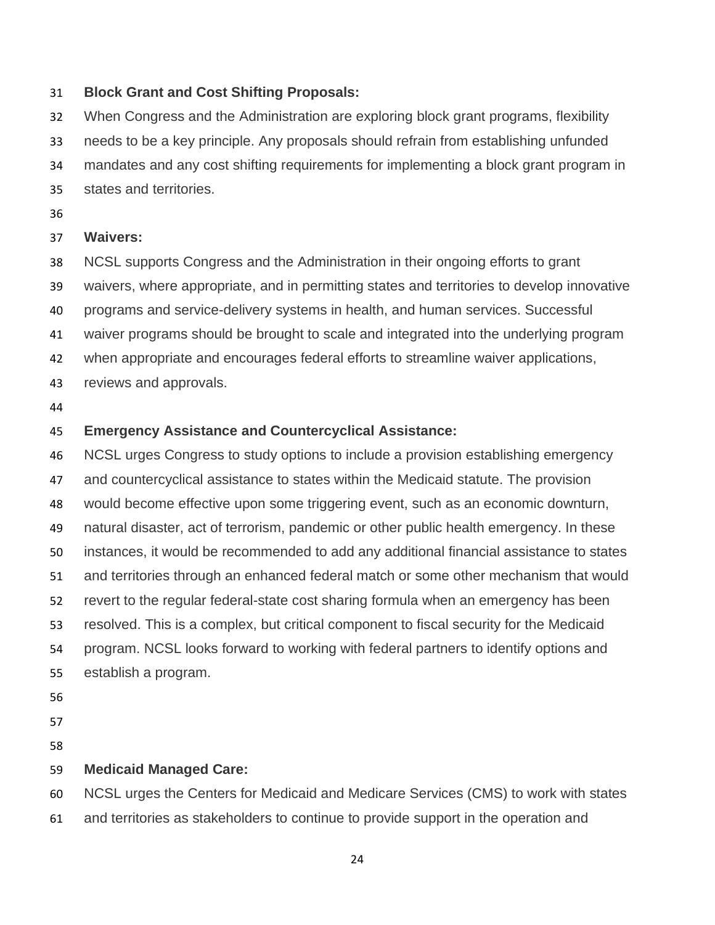### **Block Grant and Cost Shifting Proposals:**

 When Congress and the Administration are exploring block grant programs, flexibility needs to be a key principle. Any proposals should refrain from establishing unfunded mandates and any cost shifting requirements for implementing a block grant program in states and territories.

## **Waivers:**

- NCSL supports Congress and the Administration in their ongoing efforts to grant waivers, where appropriate, and in permitting states and territories to develop innovative
- programs and service-delivery systems in health, and human services. Successful
- waiver programs should be brought to scale and integrated into the underlying program
- when appropriate and encourages federal efforts to streamline waiver applications,
- reviews and approvals.
- 

## **Emergency Assistance and Countercyclical Assistance:**

 NCSL urges Congress to study options to include a provision establishing emergency and countercyclical assistance to states within the Medicaid statute. The provision would become effective upon some triggering event, such as an economic downturn, natural disaster, act of terrorism, pandemic or other public health emergency. In these instances, it would be recommended to add any additional financial assistance to states and territories through an enhanced federal match or some other mechanism that would revert to the regular federal-state cost sharing formula when an emergency has been resolved. This is a complex, but critical component to fiscal security for the Medicaid program. NCSL looks forward to working with federal partners to identify options and establish a program.

## **Medicaid Managed Care:**

NCSL urges the Centers for Medicaid and Medicare Services (CMS) to work with states

and territories as stakeholders to continue to provide support in the operation and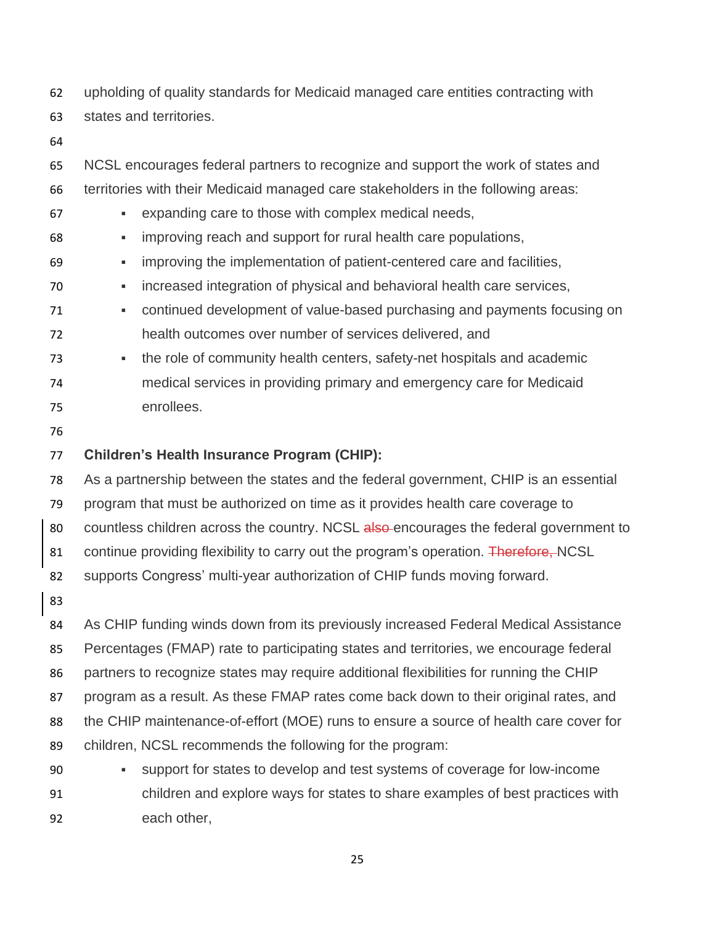upholding of quality standards for Medicaid managed care entities contracting with states and territories.

 NCSL encourages federal partners to recognize and support the work of states and territories with their Medicaid managed care stakeholders in the following areas: ▪ expanding care to those with complex medical needs,

- **Improving reach and support for rural health care populations,**
- improving the implementation of patient-centered care and facilities,
- increased integration of physical and behavioral health care services,
- continued development of value-based purchasing and payments focusing on health outcomes over number of services delivered, and
- the role of community health centers, safety-net hospitals and academic medical services in providing primary and emergency care for Medicaid enrollees.
- 

## **Children's Health Insurance Program (CHIP):**

As a partnership between the states and the federal government, CHIP is an essential

program that must be authorized on time as it provides health care coverage to

80 countless children across the country. NCSL also-encourages the federal government to

81 continue providing flexibility to carry out the program's operation. Therefore, NCSL

supports Congress' multi-year authorization of CHIP funds moving forward.

As CHIP funding winds down from its previously increased Federal Medical Assistance

 Percentages (FMAP) rate to participating states and territories, we encourage federal partners to recognize states may require additional flexibilities for running the CHIP

program as a result. As these FMAP rates come back down to their original rates, and

the CHIP maintenance-of-effort (MOE) runs to ensure a source of health care cover for

- children, NCSL recommends the following for the program:
- support for states to develop and test systems of coverage for low-income children and explore ways for states to share examples of best practices with each other,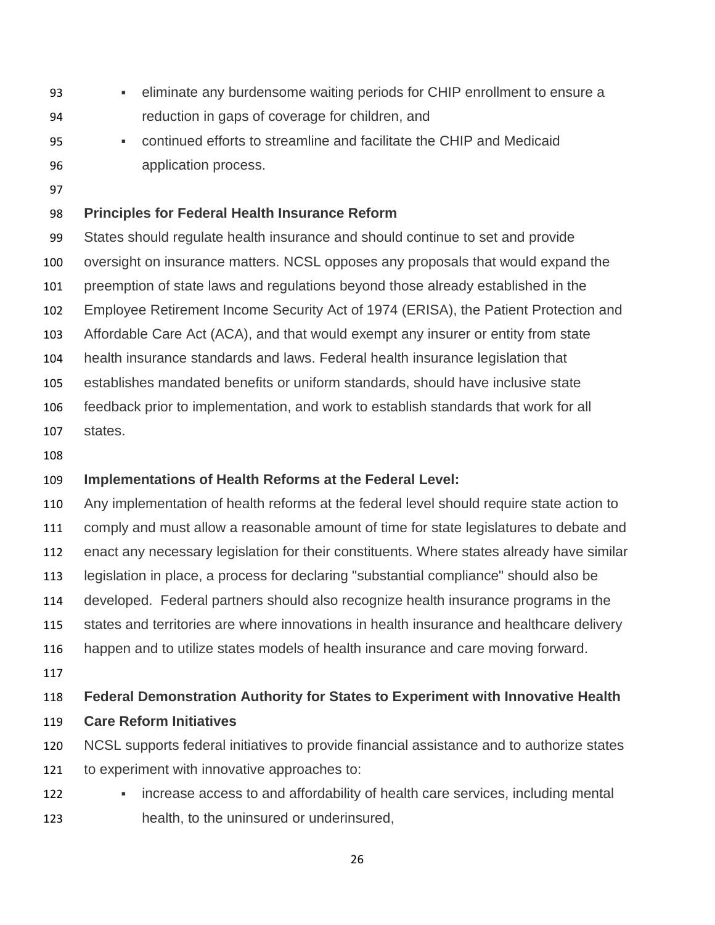- eliminate any burdensome waiting periods for CHIP enrollment to ensure a reduction in gaps of coverage for children, and
- continued efforts to streamline and facilitate the CHIP and Medicaid application process.
- 

### **Principles for Federal Health Insurance Reform**

 States should regulate health insurance and should continue to set and provide oversight on insurance matters. NCSL opposes any proposals that would expand the preemption of state laws and regulations beyond those already established in the Employee Retirement Income Security Act of 1974 (ERISA), the Patient Protection and Affordable Care Act (ACA), and that would exempt any insurer or entity from state health insurance standards and laws. Federal health insurance legislation that establishes mandated benefits or uniform standards, should have inclusive state feedback prior to implementation, and work to establish standards that work for all

- states.
- 

## **Implementations of Health Reforms at the Federal Level:**

 Any implementation of health reforms at the federal level should require state action to comply and must allow a reasonable amount of time for state legislatures to debate and enact any necessary legislation for their constituents. Where states already have similar legislation in place, a process for declaring "substantial compliance" should also be developed. Federal partners should also recognize health insurance programs in the states and territories are where innovations in health insurance and healthcare delivery happen and to utilize states models of health insurance and care moving forward. **Federal Demonstration Authority for States to Experiment with Innovative Health Care Reform Initiatives**

- NCSL supports federal initiatives to provide financial assistance and to authorize states to experiment with innovative approaches to:
- **•** increase access to and affordability of health care services, including mental health, to the uninsured or underinsured,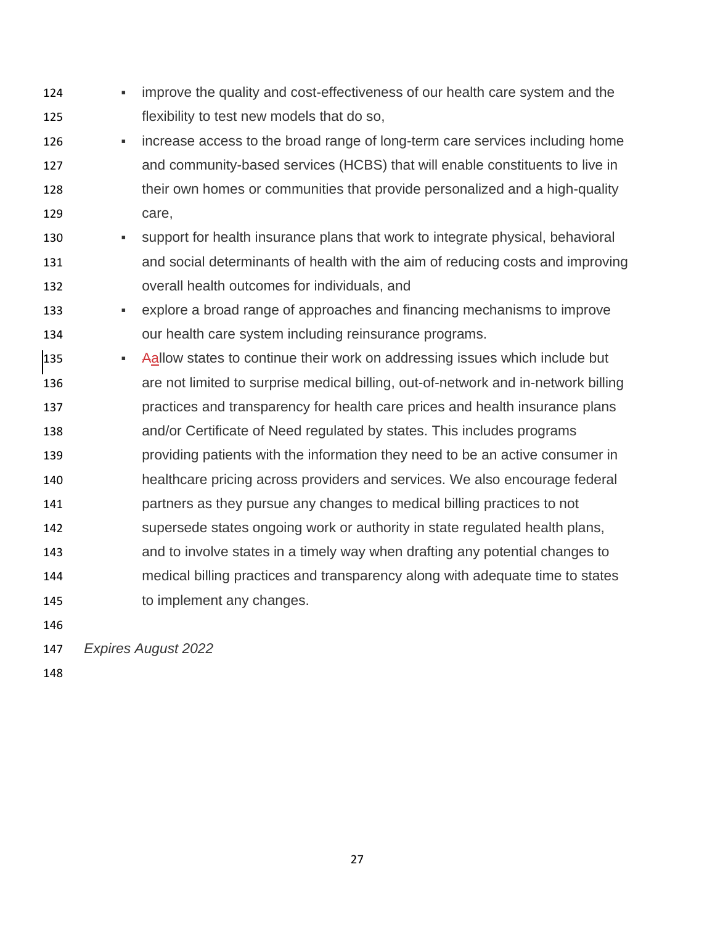**•** improve the quality and cost-effectiveness of our health care system and the flexibility to test new models that do so, **•** increase access to the broad range of long-term care services including home and community-based services (HCBS) that will enable constituents to live in their own homes or communities that provide personalized and a high-quality care, 130 • Support for health insurance plans that work to integrate physical, behavioral and social determinants of health with the aim of reducing costs and improving overall health outcomes for individuals, and ▪ explore a broad range of approaches and financing mechanisms to improve our health care system including reinsurance programs. **• Aallow states to continue their work on addressing issues which include but**  are not limited to surprise medical billing, out-of-network and in-network billing practices and transparency for health care prices and health insurance plans and/or Certificate of Need regulated by states. This includes programs providing patients with the information they need to be an active consumer in healthcare pricing across providers and services. We also encourage federal partners as they pursue any changes to medical billing practices to not supersede states ongoing work or authority in state regulated health plans, and to involve states in a timely way when drafting any potential changes to medical billing practices and transparency along with adequate time to states to implement any changes. 

*Expires August 2022*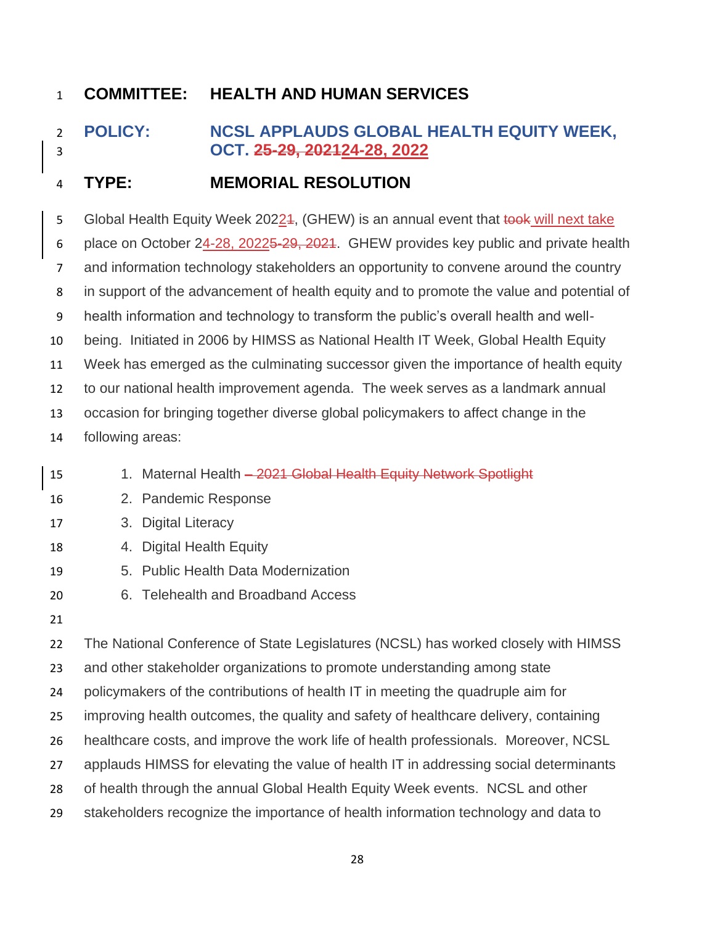# <span id="page-28-0"></span> **POLICY: NCSL APPLAUDS GLOBAL HEALTH EQUITY WEEK, OCT. 25-29, 202124-28, 2022**

## **TYPE: MEMORIAL RESOLUTION**

5 Global Health Equity Week 20224, (GHEW) is an annual event that took will next take 6 place on October 24-28, 2022<del>5-29, 2021</del>. GHEW provides key public and private health and information technology stakeholders an opportunity to convene around the country

in support of the advancement of health equity and to promote the value and potential of

health information and technology to transform the public's overall health and well-

being. Initiated in 2006 by HIMSS as National Health IT Week, Global Health Equity

Week has emerged as the culminating successor given the importance of health equity

to our national health improvement agenda. The week serves as a landmark annual

occasion for bringing together diverse global policymakers to affect change in the

- following areas:
- 15 15 1. Maternal Health 2021 Global Health Equity Network Spotlight 2. Pandemic Response 3. Digital Literacy 4. Digital Health Equity 5. Public Health Data Modernization 6. Telehealth and Broadband Access The National Conference of State Legislatures (NCSL) has worked closely with HIMSS and other stakeholder organizations to promote understanding among state policymakers of the contributions of health IT in meeting the quadruple aim for improving health outcomes, the quality and safety of healthcare delivery, containing healthcare costs, and improve the work life of health professionals. Moreover, NCSL
- applauds HIMSS for elevating the value of health IT in addressing social determinants
- of health through the annual Global Health Equity Week events. NCSL and other
- stakeholders recognize the importance of health information technology and data to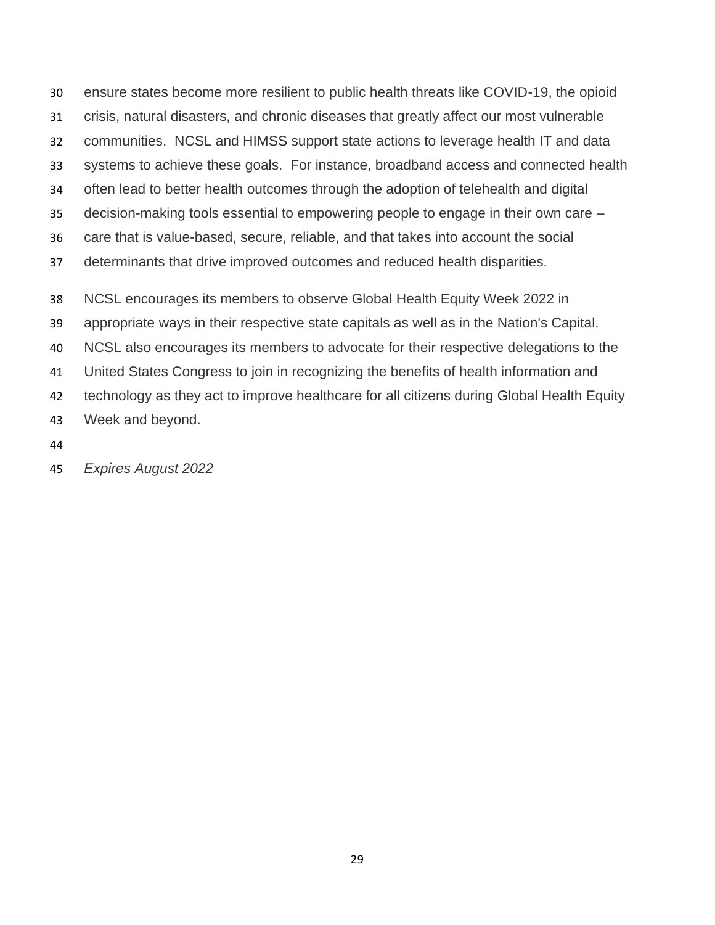ensure states become more resilient to public health threats like COVID-19, the opioid crisis, natural disasters, and chronic diseases that greatly affect our most vulnerable communities. NCSL and HIMSS support state actions to leverage health IT and data systems to achieve these goals. For instance, broadband access and connected health often lead to better health outcomes through the adoption of telehealth and digital decision-making tools essential to empowering people to engage in their own care – care that is value-based, secure, reliable, and that takes into account the social determinants that drive improved outcomes and reduced health disparities. NCSL encourages its members to observe Global Health Equity Week 2022 in appropriate ways in their respective state capitals as well as in the Nation's Capital. NCSL also encourages its members to advocate for their respective delegations to the United States Congress to join in recognizing the benefits of health information and 42 technology as they act to improve healthcare for all citizens during Global Health Equity Week and beyond.

- 
- *Expires August 2022*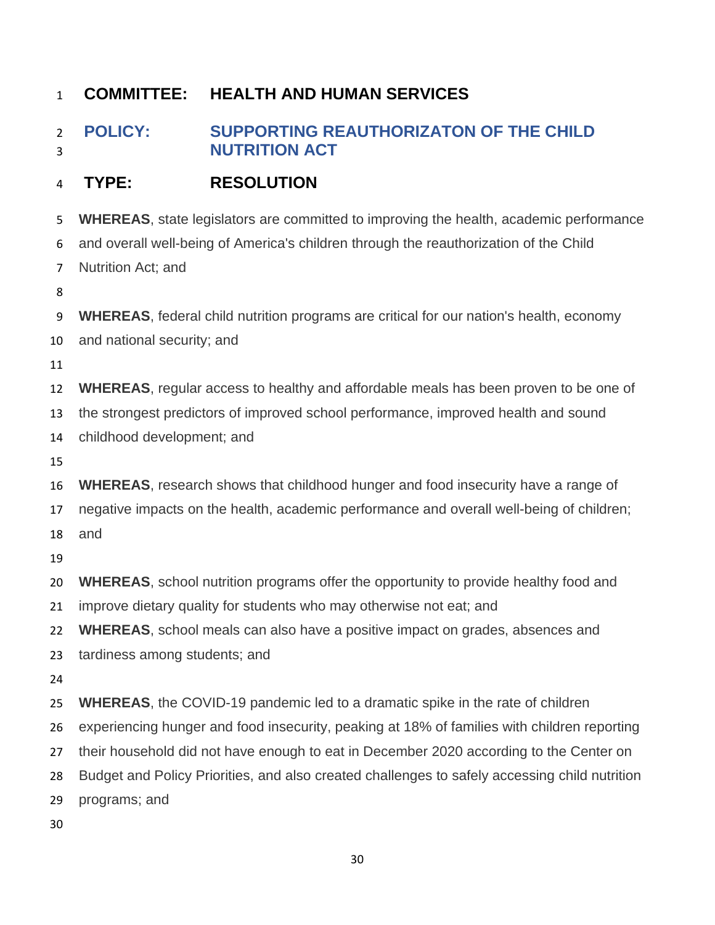# <span id="page-30-0"></span> **POLICY: SUPPORTING REAUTHORIZATON OF THE CHILD NUTRITION ACT**

## **TYPE: RESOLUTION**

**WHEREAS**, state legislators are committed to improving the health, academic performance

and overall well-being of America's children through the reauthorization of the Child

- Nutrition Act; and
- 

**WHEREAS**, federal child nutrition programs are critical for our nation's health, economy

and national security; and

**WHEREAS**, regular access to healthy and affordable meals has been proven to be one of

the strongest predictors of improved school performance, improved health and sound

childhood development; and

**WHEREAS**, research shows that childhood hunger and food insecurity have a range of

negative impacts on the health, academic performance and overall well-being of children;

and

**WHEREAS**, school nutrition programs offer the opportunity to provide healthy food and

improve dietary quality for students who may otherwise not eat; and

**WHEREAS**, school meals can also have a positive impact on grades, absences and

tardiness among students; and

**WHEREAS**, the COVID-19 pandemic led to a dramatic spike in the rate of children

experiencing hunger and food insecurity, peaking at 18% of families with children reporting

their household did not have enough to eat in December 2020 according to the Center on

Budget and Policy Priorities, and also created challenges to safely accessing child nutrition

programs; and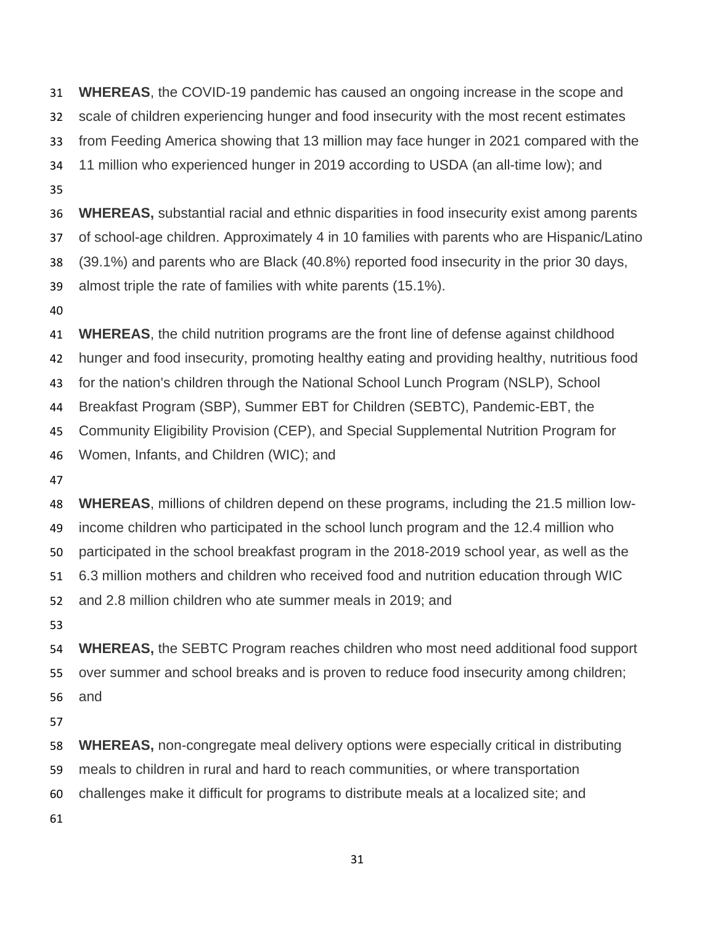**WHEREAS**, the COVID-19 pandemic has caused an ongoing increase in the scope and scale of children experiencing hunger and food insecurity with the most recent estimates from Feeding America showing that 13 million may face hunger in 2021 compared with the 11 million who experienced hunger in 2019 according to USDA (an all-time low); and **WHEREAS,** substantial racial and ethnic disparities in food insecurity exist among parents of school-age children. Approximately 4 in 10 families with parents who are Hispanic/Latino (39.1%) and parents who are Black (40.8%) reported food insecurity in the prior 30 days, almost triple the rate of families with white parents (15.1%). **WHEREAS**, the child nutrition programs are the front line of defense against childhood

 hunger and food insecurity, promoting healthy eating and providing healthy, nutritious food for the nation's children through the National School Lunch Program (NSLP), School Breakfast Program (SBP), Summer EBT for Children (SEBTC), Pandemic-EBT, the Community Eligibility Provision (CEP), and Special Supplemental Nutrition Program for

Women, Infants, and Children (WIC); and

 **WHEREAS**, millions of children depend on these programs, including the 21.5 million low- income children who participated in the school lunch program and the 12.4 million who participated in the school breakfast program in the 2018-2019 school year, as well as the 6.3 million mothers and children who received food and nutrition education through WIC and 2.8 million children who ate summer meals in 2019; and

 **WHEREAS,** the SEBTC Program reaches children who most need additional food support over summer and school breaks and is proven to reduce food insecurity among children; and

**WHEREAS,** non-congregate meal delivery options were especially critical in distributing

meals to children in rural and hard to reach communities, or where transportation

challenges make it difficult for programs to distribute meals at a localized site; and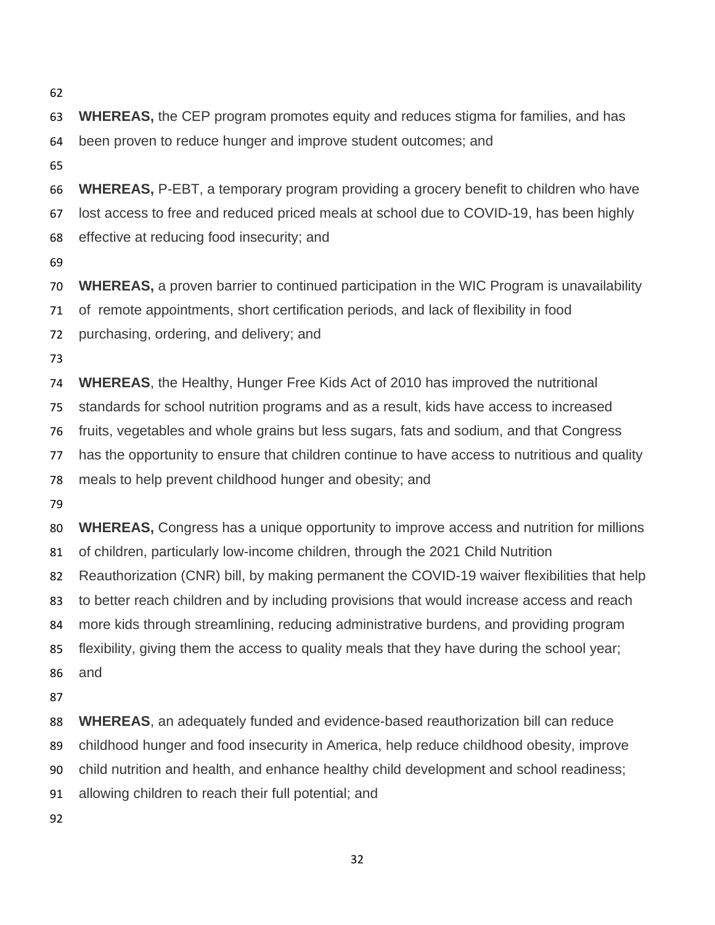**WHEREAS,** the CEP program promotes equity and reduces stigma for families, and has been proven to reduce hunger and improve student outcomes; and

**WHEREAS,** P-EBT, a temporary program providing a grocery benefit to children who have

lost access to free and reduced priced meals at school due to COVID-19, has been highly

effective at reducing food insecurity; and

**WHEREAS,** a proven barrier to continued participation in the WIC Program is unavailability

of remote appointments, short certification periods, and lack of flexibility in food

purchasing, ordering, and delivery; and

**WHEREAS**, the Healthy, Hunger Free Kids Act of 2010 has improved the nutritional

standards for school nutrition programs and as a result, kids have access to increased

fruits, vegetables and whole grains but less sugars, fats and sodium, and that Congress

has the opportunity to ensure that children continue to have access to nutritious and quality

meals to help prevent childhood hunger and obesity; and

 **WHEREAS,** Congress has a unique opportunity to improve access and nutrition for millions of children, particularly low-income children, through the 2021 Child Nutrition

Reauthorization (CNR) bill, by making permanent the COVID-19 waiver flexibilities that help

to better reach children and by including provisions that would increase access and reach

more kids through streamlining, reducing administrative burdens, and providing program

flexibility, giving them the access to quality meals that they have during the school year;

and

 **WHEREAS**, an adequately funded and evidence-based reauthorization bill can reduce childhood hunger and food insecurity in America, help reduce childhood obesity, improve child nutrition and health, and enhance healthy child development and school readiness; allowing children to reach their full potential; and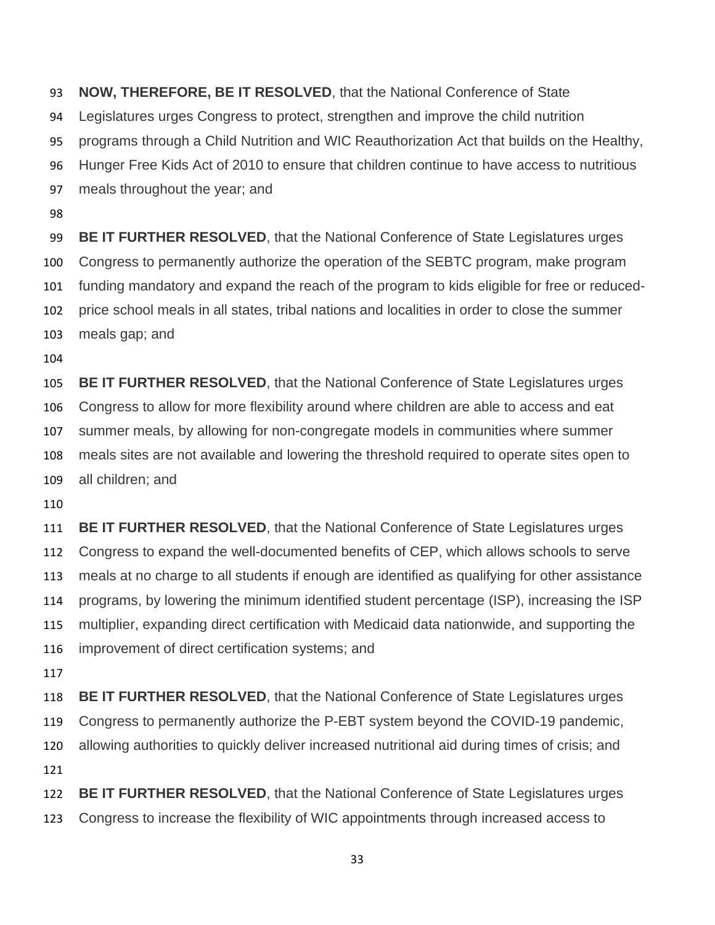**NOW, THEREFORE, BE IT RESOLVED**, that the National Conference of State Legislatures urges Congress to protect, strengthen and improve the child nutrition programs through a Child Nutrition and WIC Reauthorization Act that builds on the Healthy, Hunger Free Kids Act of 2010 to ensure that children continue to have access to nutritious meals throughout the year; and **BE IT FURTHER RESOLVED**, that the National Conference of State Legislatures urges Congress to permanently authorize the operation of the SEBTC program, make program funding mandatory and expand the reach of the program to kids eligible for free or reduced- price school meals in all states, tribal nations and localities in order to close the summer meals gap; and **BE IT FURTHER RESOLVED**, that the National Conference of State Legislatures urges Congress to allow for more flexibility around where children are able to access and eat summer meals, by allowing for non-congregate models in communities where summer

 meals sites are not available and lowering the threshold required to operate sites open to all children; and

 **BE IT FURTHER RESOLVED**, that the National Conference of State Legislatures urges Congress to expand the well-documented benefits of CEP, which allows schools to serve meals at no charge to all students if enough are identified as qualifying for other assistance programs, by lowering the minimum identified student percentage (ISP), increasing the ISP multiplier, expanding direct certification with Medicaid data nationwide, and supporting the improvement of direct certification systems; and

 **BE IT FURTHER RESOLVED**, that the National Conference of State Legislatures urges Congress to permanently authorize the P-EBT system beyond the COVID-19 pandemic, allowing authorities to quickly deliver increased nutritional aid during times of crisis; and 

 **BE IT FURTHER RESOLVED**, that the National Conference of State Legislatures urges Congress to increase the flexibility of WIC appointments through increased access to